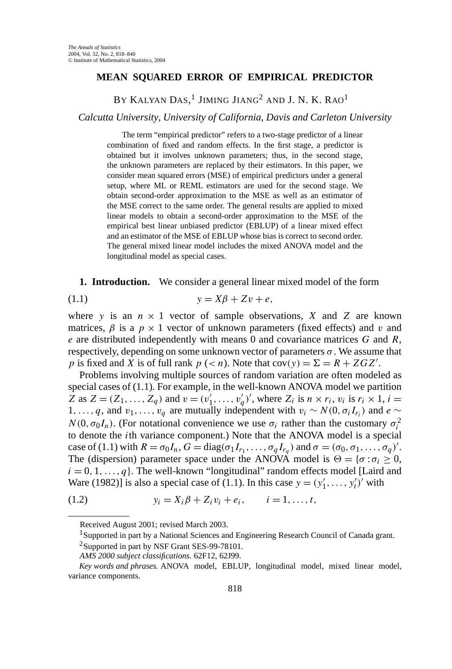## **MEAN SQUARED ERROR OF EMPIRICAL PREDICTOR**

BY KALYAN  $\mathrm{Das,}^1$  Jiming Jiang $^2$  and J. N. K. Rao $^1$ 

*Calcutta University*, *University of California*, *Davis and Carleton University*

The term "empirical predictor" refers to a two-stage predictor of a linear combination of fixed and random effects. In the first stage, a predictor is obtained but it involves unknown parameters; thus, in the second stage, the unknown parameters are replaced by their estimators. In this paper, we consider mean squared errors (MSE) of empirical predictors under a general setup, where ML or REML estimators are used for the second stage. We obtain second-order approximation to the MSE as well as an estimator of the MSE correct to the same order. The general results are applied to mixed linear models to obtain a second-order approximation to the MSE of the empirical best linear unbiased predictor (EBLUP) of a linear mixed effect and an estimator of the MSE of EBLUP whose bias is correct to second order. The general mixed linear model includes the mixed ANOVA model and the longitudinal model as special cases.

**1. Introduction.** We consider a general linear mixed model of the form

$$
(1.1) \t\t y = X\beta + Zv + e,
$$

where *y* is an  $n \times 1$  vector of sample observations, *X* and *Z* are known matrices,  $\beta$  is a  $p \times 1$  vector of unknown parameters (fixed effects) and *v* and *e* are distributed independently with means 0 and covariance matrices *G* and *R*, respectively, depending on some unknown vector of parameters  $\sigma$ . We assume that *p* is fixed and *X* is of full rank  $p (= n)$ . Note that  $cov(y) = \Sigma = R + ZGZ'$ .

Problems involving multiple sources of random variation are often modeled as special cases of (1.1). For example, in the well-known ANOVA model we partition  $Z$  as  $Z = (Z_1, ..., Z_q)$  and  $v = (v'_1, ..., v'_q)'$ , where  $Z_i$  is  $n \times r_i$ ,  $v_i$  is  $r_i \times 1$ ,  $i =$ 1,...,q, and  $v_1, \ldots, v_q$  are mutually independent with  $v_i \sim N(0, \sigma_i I_{r_i})$  and  $e \sim$  $N(0, \sigma_0 I_n)$ . (For notational convenience we use  $\sigma_i$  rather than the customary  $\sigma_i^2$ to denote the *i*th variance component.) Note that the ANOVA model is a special case of (1.1) with  $R = \sigma_0 I_n$ ,  $G = \text{diag}(\sigma_1 I_{r_1}, \ldots, \sigma_q I_{r_q})$  and  $\sigma = (\sigma_0, \sigma_1, \ldots, \sigma_q)'$ . The (dispersion) parameter space under the ANOVA model is  $\Theta = {\sigma : \sigma_i \geq 0}$ ,  $i = 0, 1, \ldots, q$ . The well-known "longitudinal" random effects model [Laird and Ware (1982)] is also a special case of (1.1). In this case  $y = (y'_1, \ldots, y'_t)^t$  with

(1.2) 
$$
y_i = X_i \beta + Z_i v_i + e_i, \qquad i = 1, ..., t,
$$

Received August 2001; revised March 2003.

<sup>&</sup>lt;sup>1</sup> Supported in part by a National Sciences and Engineering Research Council of Canada grant.

<sup>&</sup>lt;sup>2</sup>Supported in part by NSF Grant SES-99-78101.

*AMS 2000 subject classifications.* 62F12, 62J99.

*Key words and phrases.* ANOVA model, EBLUP, longitudinal model, mixed linear model, variance components.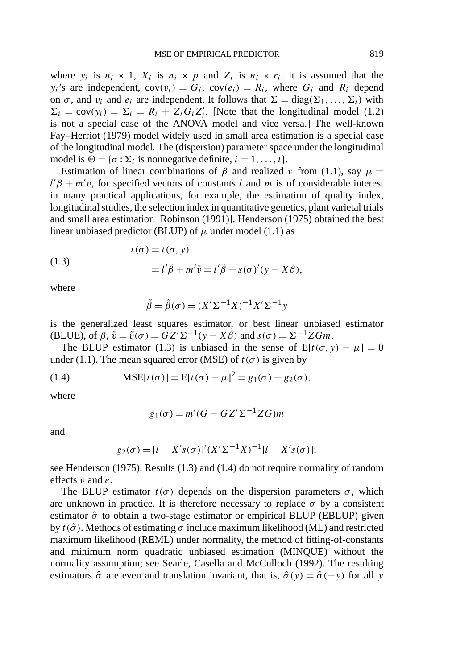where  $y_i$  is  $n_i \times 1$ ,  $X_i$  is  $n_i \times p$  and  $Z_i$  is  $n_i \times r_i$ . It is assumed that the *y<sub>i</sub>*'s are independent,  $cov(v_i) = G_i$ ,  $cov(e_i) = R_i$ , where  $G_i$  and  $R_i$  depend on  $\sigma$ , and  $v_i$  and  $e_i$  are independent. It follows that  $\Sigma = diag(\Sigma_1, \ldots, \Sigma_t)$  with  $\Sigma_i = \text{cov}(y_i) = \Sigma_i = R_i + Z_i G_i Z'_i$ . [Note that the longitudinal model (1.2) is not a special case of the ANOVA model and vice versa.] The well-known Fay–Herriot (1979) model widely used in small area estimation is a special case of the longitudinal model. The (dispersion) parameter space under the longitudinal model is  $\Theta = {\sigma : \Sigma_i}$  is nonnegative definite,  $i = 1, ..., t$ .

Estimation of linear combinations of  $\beta$  and realized *v* from (1.1), say  $\mu$  =  $l' \beta + m'v$ , for specified vectors of constants *l* and *m* is of considerable interest in many practical applications, for example, the estimation of quality index, longitudinal studies, the selection index in quantitative genetics, plant varietal trials and small area estimation [Robinson (1991)]. Henderson (1975) obtained the best linear unbiased predictor (BLUP) of  $\mu$  under model (1.1) as

(1.3)  

$$
t(\sigma) = t(\sigma, y)
$$

$$
= l'\tilde{\beta} + m'\tilde{v} = l'\tilde{\beta} + s(\sigma)'(y - X\tilde{\beta}),
$$

where

$$
\tilde{\beta} = \tilde{\beta}(\sigma) = (X'\Sigma^{-1}X)^{-1}X'\Sigma^{-1}y
$$

is the generalized least squares estimator, or best linear unbiased estimator  $(BLUE)$ , of  $\beta$ ,  $\tilde{v} = \tilde{v}(\sigma) = \tilde{G}Z^{\prime}\Sigma^{-1}(y - X\tilde{\beta})$  and  $s(\sigma) = \Sigma^{-1}ZGm$ .

The BLUP estimator (1.3) is unbiased in the sense of  $E[t(\sigma, y) - \mu] = 0$ under (1.1). The mean squared error (MSE) of  $t(\sigma)$  is given by

(1.4) 
$$
MSE[t(\sigma)] = E[t(\sigma) - \mu]^2 = g_1(\sigma) + g_2(\sigma),
$$

where

$$
g_1(\sigma) = m'(G - GZ'\Sigma^{-1}ZG)m
$$

and

$$
g_2(\sigma) = [l - X's(\sigma)]'(X'\Sigma^{-1}X)^{-1}[l - X's(\sigma)];
$$

see Henderson (1975). Results (1.3) and (1.4) do not require normality of random effects *v* and *e*.

The BLUP estimator  $t(\sigma)$  depends on the dispersion parameters  $\sigma$ , which are unknown in practice. It is therefore necessary to replace  $\sigma$  by a consistent estimator  $\hat{\sigma}$  to obtain a two-stage estimator or empirical BLUP (EBLUP) given by  $t(\hat{\sigma})$ . Methods of estimating  $\sigma$  include maximum likelihood (ML) and restricted maximum likelihood (REML) under normality, the method of fitting-of-constants and minimum norm quadratic unbiased estimation (MINQUE) without the normality assumption; see Searle, Casella and McCulloch (1992). The resulting estimators  $\hat{\sigma}$  are even and translation invariant, that is,  $\hat{\sigma}(y) = \hat{\sigma}(-y)$  for all *y*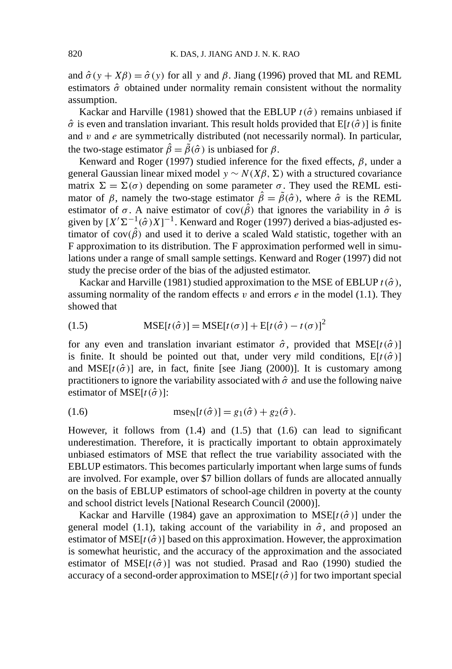and  $\hat{\sigma}(y + X\beta) = \hat{\sigma}(y)$  for all y and  $\beta$ . Jiang (1996) proved that ML and REML estimators  $\hat{\sigma}$  obtained under normality remain consistent without the normality assumption.

Kackar and Harville (1981) showed that the EBLUP  $t(\hat{\sigma})$  remains unbiased if  $\hat{\sigma}$  is even and translation invariant. This result holds provided that  $E[t(\hat{\sigma})]$  is finite and *v* and *e* are symmetrically distributed (not necessarily normal). In particular, the two-stage estimator  $\hat{\beta} = \tilde{\beta}(\hat{\sigma})$  is unbiased for  $\beta$ .

Kenward and Roger (1997) studied inference for the fixed effects, *β*, under a general Gaussian linear mixed model *y* ~  $N(Xβ, Σ)$  with a structured covariance matrix  $\Sigma = \Sigma(\sigma)$  depending on some parameter  $\sigma$ . They used the REML estimator of  $\beta$ , namely the two-stage estimator  $\hat{\beta} = \tilde{\beta}(\hat{\sigma})$ , where  $\hat{\sigma}$  is the REML estimator of  $\sigma$ . A naive estimator of cov $(\hat{\beta})$  that ignores the variability in  $\hat{\sigma}$  is given by  $[X^{\prime} \Sigma^{-1}(\hat{\sigma}) X]^{-1}$ . Kenward and Roger (1997) derived a bias-adjusted estimator of  $cov(\hat{\beta})$  and used it to derive a scaled Wald statistic, together with an F approximation to its distribution. The F approximation performed well in simulations under a range of small sample settings. Kenward and Roger (1997) did not study the precise order of the bias of the adjusted estimator.

Kackar and Harville (1981) studied approximation to the MSE of EBLUP  $t(\hat{\sigma})$ , assuming normality of the random effects  $v$  and errors  $e$  in the model (1.1). They showed that

(1.5) 
$$
MSE[t(\hat{\sigma})] = MSE[t(\sigma)] + E[t(\hat{\sigma}) - t(\sigma)]^{2}
$$

for any even and translation invariant estimator  $\hat{\sigma}$ , provided that MSE[ $t(\hat{\sigma})$ ] is finite. It should be pointed out that, under very mild conditions,  $E[t(\hat{\sigma})]$ and MSE $[t(\hat{\sigma})]$  are, in fact, finite [see Jiang (2000)]. It is customary among practitioners to ignore the variability associated with  $\hat{\sigma}$  and use the following naive estimator of MSE $[t(\hat{\sigma})]$ :

(1.6) 
$$
\text{mse}_{N}[t(\hat{\sigma})] = g_1(\hat{\sigma}) + g_2(\hat{\sigma}).
$$

However, it follows from  $(1.4)$  and  $(1.5)$  that  $(1.6)$  can lead to significant underestimation. Therefore, it is practically important to obtain approximately unbiased estimators of MSE that reflect the true variability associated with the EBLUP estimators. This becomes particularly important when large sums of funds are involved. For example, over \$7 billion dollars of funds are allocated annually on the basis of EBLUP estimators of school-age children in poverty at the county and school district levels [National Research Council (2000)].

Kackar and Harville (1984) gave an approximation to  $MSE[t(\hat{\sigma})]$  under the general model (1.1), taking account of the variability in  $\hat{\sigma}$ , and proposed an estimator of MSE $[t(\hat{\sigma})]$  based on this approximation. However, the approximation is somewhat heuristic, and the accuracy of the approximation and the associated estimator of MSE $[t(\hat{\sigma})]$  was not studied. Prasad and Rao (1990) studied the accuracy of a second-order approximation to  $MSE[t(\hat{\sigma})]$  for two important special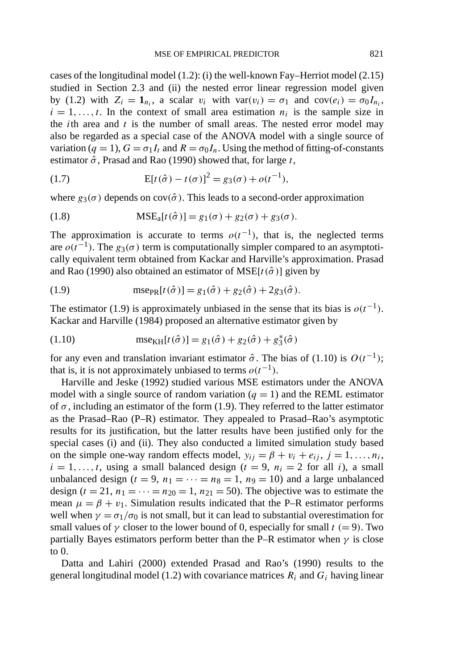cases of the longitudinal model (1.2): (i) the well-known Fay–Herriot model (2.15) studied in Section 2.3 and (ii) the nested error linear regression model given by (1.2) with  $Z_i = \mathbf{1}_{n_i}$ , a scalar  $v_i$  with  $var(v_i) = \sigma_1$  and  $cov(e_i) = \sigma_0 I_{n_i}$ ,  $i = 1, \ldots, t$ . In the context of small area estimation  $n_i$  is the sample size in the *i*th area and *t* is the number of small areas. The nested error model may also be regarded as a special case of the ANOVA model with a single source of variation ( $q = 1$ ),  $G = \sigma_1 I_t$  and  $R = \sigma_0 I_n$ . Using the method of fitting-of-constants estimator  $\hat{\sigma}$ , Prasad and Rao (1990) showed that, for large *t*,

(1.7) 
$$
E[t(\hat{\sigma}) - t(\sigma)]^2 = g_3(\sigma) + o(t^{-1}),
$$

where  $g_3(\sigma)$  depends on cov $(\hat{\sigma})$ . This leads to a second-order approximation

(1.8) 
$$
MSE_{a}[t(\hat{\sigma})] = g_1(\sigma) + g_2(\sigma) + g_3(\sigma).
$$

The approximation is accurate to terms  $o(t^{-1})$ , that is, the neglected terms are  $o(t^{-1})$ . The  $g_3(\sigma)$  term is computationally simpler compared to an asymptotically equivalent term obtained from Kackar and Harville's approximation. Prasad and Rao (1990) also obtained an estimator of  $MSE[t(\hat{\sigma})]$  given by

(1.9) 
$$
\text{mse}_{PR}[t(\hat{\sigma})] = g_1(\hat{\sigma}) + g_2(\hat{\sigma}) + 2g_3(\hat{\sigma}).
$$

The estimator (1.9) is approximately unbiased in the sense that its bias is  $o(t^{-1})$ . Kackar and Harville (1984) proposed an alternative estimator given by

(1.10) 
$$
\text{mse}_{\text{KH}}[t(\hat{\sigma})] = g_1(\hat{\sigma}) + g_2(\hat{\sigma}) + g_3^*(\hat{\sigma})
$$

for any even and translation invariant estimator  $\hat{\sigma}$ . The bias of (1.10) is  $O(t^{-1})$ ; that is, it is not approximately unbiased to terms  $o(t^{-1})$ .

Harville and Jeske (1992) studied various MSE estimators under the ANOVA model with a single source of random variation  $(q = 1)$  and the REML estimator of  $\sigma$ , including an estimator of the form (1.9). They referred to the latter estimator as the Prasad–Rao (P–R) estimator. They appealed to Prasad–Rao's asymptotic results for its justification, but the latter results have been justified only for the special cases (i) and (ii). They also conducted a limited simulation study based on the simple one-way random effects model,  $y_{ij} = \beta + v_i + e_{ij}$ ,  $j = 1, ..., n_i$ ,  $i = 1, \ldots, t$ , using a small balanced design ( $t = 9$ ,  $n_i = 2$  for all *i*), a small unbalanced design ( $t = 9$ ,  $n_1 = \cdots = n_8 = 1$ ,  $n_9 = 10$ ) and a large unbalanced design  $(t = 21, n_1 = \cdots = n_{20} = 1, n_{21} = 50)$ . The objective was to estimate the mean  $\mu = \beta + v_1$ . Simulation results indicated that the P–R estimator performs well when  $\gamma = \sigma_1/\sigma_0$  is not small, but it can lead to substantial overestimation for small values of  $\gamma$  closer to the lower bound of 0, especially for small  $t (= 9)$ . Two partially Bayes estimators perform better than the P–R estimator when *γ* is close to 0.

Datta and Lahiri (2000) extended Prasad and Rao's (1990) results to the general longitudinal model (1.2) with covariance matrices  $R_i$  and  $G_i$  having linear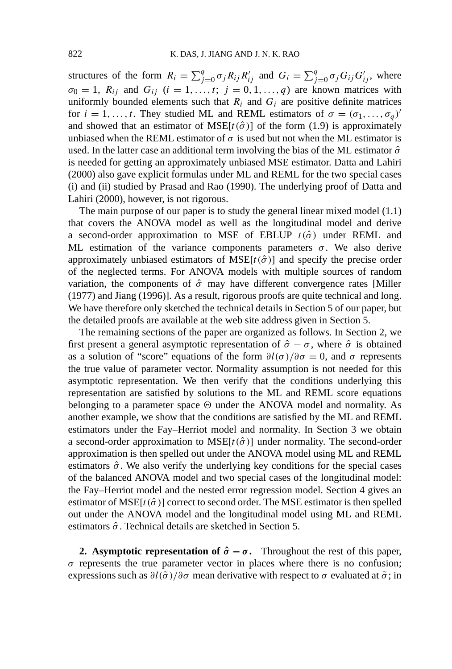structures of the form  $R_i = \sum_{j=0}^q \sigma_j R_{ij} R'_{ij}$  and  $G_i = \sum_{j=0}^q \sigma_j G_{ij} G'_{ij}$ , where  $\sigma_0 = 1$ ,  $R_{ij}$  and  $G_{ij}$  ( $i = 1, \ldots, t$ ;  $j = 0, 1, \ldots, q$ ) are known matrices with uniformly bounded elements such that  $R_i$  and  $G_i$  are positive definite matrices for  $i = 1, \ldots, t$ . They studied ML and REML estimators of  $\sigma = (\sigma_1, \ldots, \sigma_a)'$ and showed that an estimator of  $MSE[t(\hat{\sigma})]$  of the form (1.9) is approximately unbiased when the REML estimator of  $\sigma$  is used but not when the ML estimator is used. In the latter case an additional term involving the bias of the ML estimator  $\hat{\sigma}$ is needed for getting an approximately unbiased MSE estimator. Datta and Lahiri (2000) also gave explicit formulas under ML and REML for the two special cases (i) and (ii) studied by Prasad and Rao (1990). The underlying proof of Datta and Lahiri (2000), however, is not rigorous.

The main purpose of our paper is to study the general linear mixed model (1.1) that covers the ANOVA model as well as the longitudinal model and derive a second-order approximation to MSE of EBLUP  $t(\hat{\sigma})$  under REML and ML estimation of the variance components parameters  $\sigma$ . We also derive approximately unbiased estimators of  $MSE[t(\hat{\sigma})]$  and specify the precise order of the neglected terms. For ANOVA models with multiple sources of random variation, the components of  $\hat{\sigma}$  may have different convergence rates [Miller (1977) and Jiang (1996)]. As a result, rigorous proofs are quite technical and long. We have therefore only sketched the technical details in Section 5 of our paper, but the detailed proofs are available at the web site address given in Section 5.

The remaining sections of the paper are organized as follows. In Section 2, we first present a general asymptotic representation of  $\hat{\sigma} - \sigma$ , where  $\hat{\sigma}$  is obtained as a solution of "score" equations of the form  $\partial l(\sigma)/\partial \sigma = 0$ , and  $\sigma$  represents the true value of parameter vector. Normality assumption is not needed for this asymptotic representation. We then verify that the conditions underlying this representation are satisfied by solutions to the ML and REML score equations belonging to a parameter space  $\Theta$  under the ANOVA model and normality. As another example, we show that the conditions are satisfied by the ML and REML estimators under the Fay–Herriot model and normality. In Section 3 we obtain a second-order approximation to  $MSE[t(\hat{\sigma})]$  under normality. The second-order approximation is then spelled out under the ANOVA model using ML and REML estimators  $\hat{\sigma}$ . We also verify the underlying key conditions for the special cases of the balanced ANOVA model and two special cases of the longitudinal model: the Fay–Herriot model and the nested error regression model. Section 4 gives an estimator of  $MSE[t(\hat{\sigma})]$  correct to second order. The MSE estimator is then spelled out under the ANOVA model and the longitudinal model using ML and REML estimators  $\hat{\sigma}$ . Technical details are sketched in Section 5.

**2. Asymptotic representation of**  $\hat{\sigma} - \sigma$ **.** Throughout the rest of this paper,  $\sigma$  represents the true parameter vector in places where there is no confusion; expressions such as  $\partial l(\tilde{\sigma})/\partial \sigma$  mean derivative with respect to  $\sigma$  evaluated at  $\tilde{\sigma}$ ; in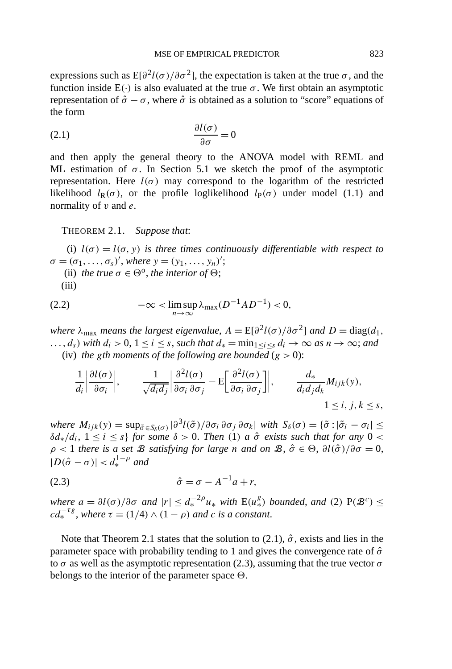expressions such as  $E[\partial^2 l(\sigma)/\partial \sigma^2]$ , the expectation is taken at the true  $\sigma$ , and the function inside  $E(\cdot)$  is also evaluated at the true  $\sigma$ . We first obtain an asymptotic representation of  $\hat{\sigma} - \sigma$ , where  $\hat{\sigma}$  is obtained as a solution to "score" equations of the form

$$
\frac{\partial l(\sigma)}{\partial \sigma} = 0
$$

and then apply the general theory to the ANOVA model with REML and ML estimation of  $\sigma$ . In Section 5.1 we sketch the proof of the asymptotic representation. Here  $l(\sigma)$  may correspond to the logarithm of the restricted likelihood  $l_R(\sigma)$ , or the profile loglikelihood  $l_P(\sigma)$  under model (1.1) and normality of *v* and *e*.

THEOREM 2.1. *Suppose that*:

(i)  $l(\sigma) = l(\sigma, y)$  *is three times continuously differentiable with respect to*  $\sigma = (\sigma_1, ..., \sigma_s)'$ , *where*  $y = (y_1, ..., y_n)'$ ;

- (ii) *the true*  $\sigma \in \Theta^{\circ}$ *, the interior of*  $\Theta$ *;*
- (iii)

$$
(2.2) \qquad \qquad -\infty < \limsup_{n \to \infty} \lambda_{\max}(D^{-1}AD^{-1}) < 0,
$$

*where*  $\lambda_{\text{max}}$  *means the largest eigenvalue,*  $A = E[\partial^2 l(\sigma)/\partial \sigma^2]$  *and*  $D = \text{diag}(d_1, d_2)$ *...,ds)* with  $d_i > 0$ ,  $1 \le i \le s$ , *such that*  $d_* = \min_{1 \le i \le s} d_i \to \infty$  *as*  $n \to \infty$ *; and* (iv) *the gth moments of the following are bounded*  $(g > 0)$ :

$$
\frac{1}{d_i} \left| \frac{\partial l(\sigma)}{\partial \sigma_i} \right|, \qquad \frac{1}{\sqrt{d_i d_j}} \left| \frac{\partial^2 l(\sigma)}{\partial \sigma_i \partial \sigma_j} - \mathbb{E} \left[ \frac{\partial^2 l(\sigma)}{\partial \sigma_i \partial \sigma_j} \right] \right|, \qquad \frac{d_*}{d_i d_j d_k} M_{ijk}(y),
$$
  
 $1 \le i, j, k \le s,$ 

*where*  $M_{ijk}(y) = \sup_{\tilde{\sigma} \in S_{\delta}(\sigma)} |\partial^3 l(\tilde{\sigma})/\partial \sigma_i \partial \sigma_j \partial \sigma_k|$  *with*  $S_{\delta}(\sigma) = {\tilde{\sigma} : |\tilde{\sigma}_i - \sigma_i| \leq \delta}$  $δd<sub>∗</sub>/d<sub>i</sub>$ ,  $1 ≤ i ≤ s$ } *for some*  $δ > 0$ . *Then* (1) *a*  $σ̄$  *exists such that for any* 0 <  $\rho$  < 1 *there is a set B <i>satisfying for large <i>n and on B*,  $\hat{\sigma} \in \Theta$ ,  $\frac{\partial l(\hat{\sigma})}{\partial \sigma} = 0$ ,  $|D(\hat{\sigma} - \sigma)| < d_{*}^{1-\rho}$  and

$$
\hat{\sigma} = \sigma - A^{-1}a + r,
$$

*where*  $a = \partial l(\sigma)/\partial \sigma$  *and*  $|r| \leq d_*^{-2\rho} u_*$  *with*  $E(u_*^g)$  *bounded, and* (2)  $P(\mathcal{B}^c) \leq$  $cd_*^{\tau_{\mathcal{E}}}$ , where  $\tau = (1/4) \wedge (1 - \rho)$  and *c is a constant*.

Note that Theorem 2.1 states that the solution to (2.1),  $\hat{\sigma}$ , exists and lies in the parameter space with probability tending to 1 and gives the convergence rate of  $\hat{\sigma}$ to  $\sigma$  as well as the asymptotic representation (2.3), assuming that the true vector  $\sigma$ belongs to the interior of the parameter space  $\Theta$ .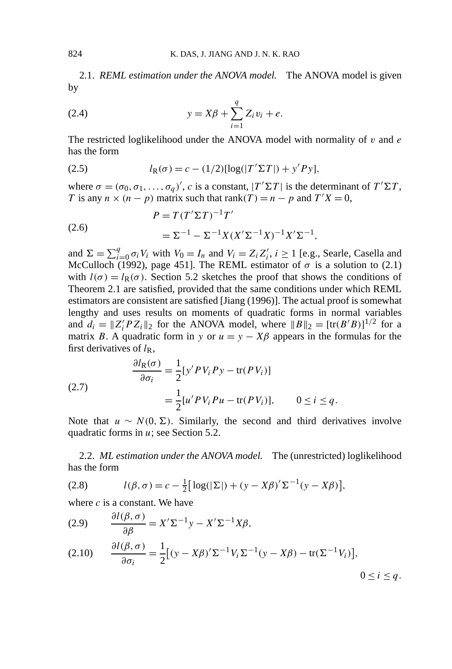2.1. *REML estimation under the ANOVA model.* The ANOVA model is given by

(2.4) 
$$
y = X\beta + \sum_{i=1}^{q} Z_i v_i + e.
$$

The restricted loglikelihood under the ANOVA model with normality of *v* and *e* has the form

(2.5) 
$$
l_{R}(\sigma) = c - (1/2)[\log(|T' \Sigma T|) + y'Py],
$$

where  $\sigma = (\sigma_0, \sigma_1, \ldots, \sigma_q)'$ , *c* is a constant,  $|T' \Sigma T|$  is the determinant of  $T' \Sigma T$ , *T* is any  $n \times (n - p)$  matrix such that rank $(T) = n - p$  and  $T'X = 0$ ,

(2.6) 
$$
P = T(T'\Sigma T)^{-1}T'
$$

$$
= \Sigma^{-1} - \Sigma^{-1}X(X'\Sigma^{-1}X)^{-1}X'\Sigma^{-1},
$$

and  $\Sigma = \sum_{i=0}^{q} \sigma_i V_i$  with  $V_0 = I_n$  and  $V_i = Z_i Z'_i$ ,  $i \ge 1$  [e.g., Searle, Casella and McCulloch (1992), page 451]. The REML estimator of  $\sigma$  is a solution to (2.1) with  $l(\sigma) = l_{R}(\sigma)$ . Section 5.2 sketches the proof that shows the conditions of Theorem 2.1 are satisfied, provided that the same conditions under which REML estimators are consistent are satisfied [Jiang (1996)]. The actual proof is somewhat lengthy and uses results on moments of quadratic forms in normal variables and  $d_i = \|Z_i' P Z_i\|_2$  for the ANOVA model, where  $\|B\|_2 = [\text{tr}(B'B)]^{1/2}$  for a matrix *B*. A quadratic form in *y* or  $u = y - X\beta$  appears in the formulas for the first derivatives of  $l_{\rm R}$ ,

(2.7)  
\n
$$
\frac{\partial l_{\mathcal{R}}(\sigma)}{\partial \sigma_i} = \frac{1}{2} [y' P V_i P y - \text{tr}(P V_i)]
$$
\n
$$
= \frac{1}{2} [u' P V_i P u - \text{tr}(P V_i)], \qquad 0 \le i \le q.
$$

Note that *u* ∼ *N*(0*,* Σ). Similarly, the second and third derivatives involve quadratic forms in *u*; see Section 5.2.

2.2. *ML estimation under the ANOVA model.* The (unrestricted) loglikelihood has the form

(2.8) 
$$
l(\beta, \sigma) = c - \frac{1}{2} [\log(|\Sigma|) + (y - X\beta)' \Sigma^{-1} (y - X\beta)],
$$

where *c* is a constant. We have

(2.9) 
$$
\frac{\partial l(\beta, \sigma)}{\partial \beta} = X' \Sigma^{-1} y - X' \Sigma^{-1} X \beta,
$$
  
(2.10) 
$$
\frac{\partial l(\beta, \sigma)}{\partial \sigma_i} = \frac{1}{2} [(y - X\beta)' \Sigma^{-1} V_i \Sigma^{-1} (y - X\beta) - \text{tr}(\Sigma^{-1} V_i)],
$$

$$
0 \le i \le q.
$$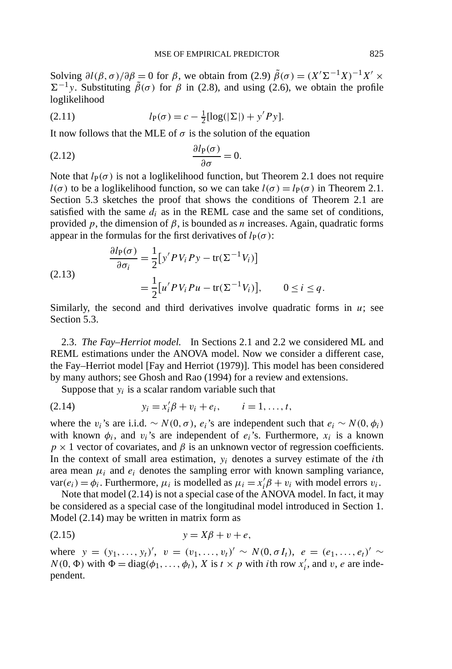Solving  $\partial l(\beta, \sigma)/\partial \beta = 0$  for  $\beta$ , we obtain from (2.9)  $\tilde{\beta}(\sigma) = (X^{\prime} \Sigma^{-1} X)^{-1} X^{\prime} \times$  $\Sigma^{-1}$ *y*. Substituting  $\tilde{\beta}(\sigma)$  for  $\beta$  in (2.8), and using (2.6), we obtain the profile loglikelihood

(2.11) 
$$
l_{P}(\sigma) = c - \frac{1}{2} [\log(|\Sigma|) + y' P y].
$$

It now follows that the MLE of  $\sigma$  is the solution of the equation

$$
\frac{\partial l_{\mathbf{P}}(\sigma)}{\partial \sigma} = 0.
$$

Note that  $l_P(\sigma)$  is not a loglikelihood function, but Theorem 2.1 does not require  $l(\sigma)$  to be a loglikelihood function, so we can take  $l(\sigma) = l_P(\sigma)$  in Theorem 2.1. Section 5.3 sketches the proof that shows the conditions of Theorem 2.1 are satisfied with the same  $d_i$  as in the REML case and the same set of conditions, provided *p*, the dimension of  $β$ , is bounded as *n* increases. Again, quadratic forms appear in the formulas for the first derivatives of  $l_P(\sigma)$ :

(2.13) 
$$
\frac{\partial l_P(\sigma)}{\partial \sigma_i} = \frac{1}{2} [y' P V_i P y - \text{tr}(\Sigma^{-1} V_i)]
$$

$$
= \frac{1}{2} [u' P V_i P u - \text{tr}(\Sigma^{-1} V_i)], \qquad 0 \le i \le q.
$$

Similarly, the second and third derivatives involve quadratic forms in  $u$ ; see Section 5.3.

2.3. *The Fay–Herriot model.* In Sections 2.1 and 2.2 we considered ML and REML estimations under the ANOVA model. Now we consider a different case, the Fay–Herriot model [Fay and Herriot (1979)]. This model has been considered by many authors; see Ghosh and Rao (1994) for a review and extensions.

Suppose that  $y_i$  is a scalar random variable such that

(2.14) 
$$
y_i = x'_i \beta + v_i + e_i, \qquad i = 1, ..., t,
$$

where the *v<sub>i</sub>*'s are i.i.d. ~  $N(0, \sigma)$ ,  $e_i$ 's are independent such that  $e_i \sim N(0, \phi_i)$ with known  $\phi_i$ , and  $v_i$ 's are independent of  $e_i$ 's. Furthermore,  $x_i$  is a known  $p \times 1$  vector of covariates, and  $\beta$  is an unknown vector of regression coefficients. In the context of small area estimation, *yi* denotes a survey estimate of the *i*th area mean  $\mu_i$  and  $e_i$  denotes the sampling error with known sampling variance, var( $e_i$ ) =  $\phi_i$ . Furthermore,  $\mu_i$  is modelled as  $\mu_i = x_i' \beta + v_i$  with model errors  $v_i$ .

Note that model (2.14) is not a special case of the ANOVA model. In fact, it may be considered as a special case of the longitudinal model introduced in Section 1. Model (2.14) may be written in matrix form as

$$
(2.15) \t\t y = X\beta + v + e,
$$

where  $y = (y_1, ..., y_t)'$ ,  $v = (v_1, ..., v_t)' \sim N(0, \sigma I_t)$ ,  $e = (e_1, ..., e_t)' \sim$  $N(0, \Phi)$  with  $\Phi = \text{diag}(\phi_1, \ldots, \phi_t)$ , *X* is  $t \times p$  with *i*th row  $x'_i$ , and *v*, *e* are independent.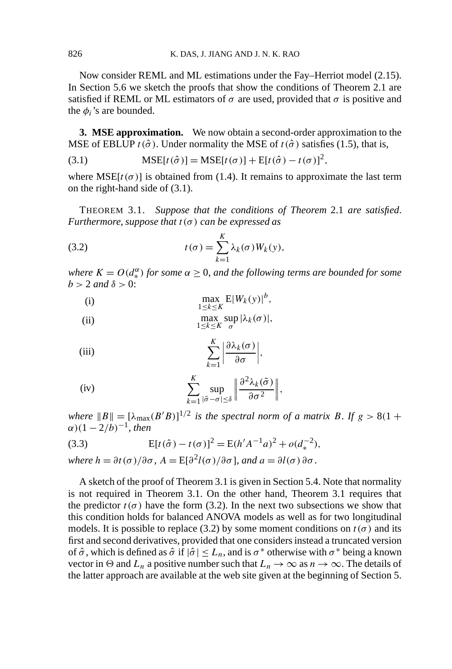Now consider REML and ML estimations under the Fay–Herriot model (2.15). In Section 5.6 we sketch the proofs that show the conditions of Theorem 2.1 are satisfied if REML or ML estimators of  $\sigma$  are used, provided that  $\sigma$  is positive and the  $\phi_i$ 's are bounded.

**3. MSE approximation.** We now obtain a second-order approximation to the MSE of EBLUP  $t(\hat{\sigma})$ . Under normality the MSE of  $t(\hat{\sigma})$  satisfies (1.5), that is,

(3.1) 
$$
MSE[t(\hat{\sigma})] = MSE[t(\sigma)] + E[t(\hat{\sigma}) - t(\sigma)]^{2},
$$

where  $MSE[t(\sigma)]$  is obtained from (1.4). It remains to approximate the last term on the right-hand side of (3.1).

THEOREM 3.1. *Suppose that the conditions of Theorem* 2.1 *are satisfied*. *Furthermore*, *suppose that t (σ ) can be expressed as*

(3.2) 
$$
t(\sigma) = \sum_{k=1}^{K} \lambda_k(\sigma) W_k(y),
$$

*where*  $K = O(d_{*}^{\alpha})$  *for some*  $\alpha \geq 0$ *, and the following terms are bounded for some*  $b > 2$  *and*  $\delta > 0$ :

(i) 
$$
\max_{1 \le k \le K} E|W_k(y)|^b,
$$

(ii) 
$$
\max_{1 \le k \le K} \sup_{\sigma} |\lambda_k(\sigma)|,
$$

(iii) 
$$
\sum_{k=1}^{K} \left| \frac{\partial \lambda_k(\sigma)}{\partial \sigma} \right|,
$$

(iv) 
$$
\sum_{k=1}^{K} \sup_{|\tilde{\sigma}-\sigma| \leq \delta} \left\| \frac{\partial^2 \lambda_k(\tilde{\sigma})}{\partial \sigma^2} \right\|,
$$

*where*  $||B|| = [\lambda_{\text{max}}(B'B)]^{1/2}$  *is the spectral norm of a matrix B.* If  $g > 8(1 +$  $α)(1 – 2/b)<sup>-1</sup>, then$ 

(3.3) 
$$
E[t(\hat{\sigma}) - t(\sigma)]^2 = E(h'A^{-1}a)^2 + o(d_*^{-2}),
$$

*where*  $h = \partial t(\sigma)/\partial \sigma$ ,  $A = E[\partial^2 l(\sigma)/\partial \sigma]$ , *and*  $a = \partial l(\sigma) \partial \sigma$ .

A sketch of the proof of Theorem 3.1 is given in Section 5.4. Note that normality is not required in Theorem 3.1. On the other hand, Theorem 3.1 requires that the predictor  $t(\sigma)$  have the form (3.2). In the next two subsections we show that this condition holds for balanced ANOVA models as well as for two longitudinal models. It is possible to replace (3.2) by some moment conditions on  $t(\sigma)$  and its first and second derivatives, provided that one considers instead a truncated version of  $\hat{\sigma}$ , which is defined as  $\hat{\sigma}$  if  $|\hat{\sigma}| \leq L_n$ , and is  $\sigma^*$  otherwise with  $\sigma^*$  being a known vector in  $\Theta$  and  $L_n$  a positive number such that  $L_n \to \infty$  as  $n \to \infty$ . The details of the latter approach are available at the web site given at the beginning of Section 5.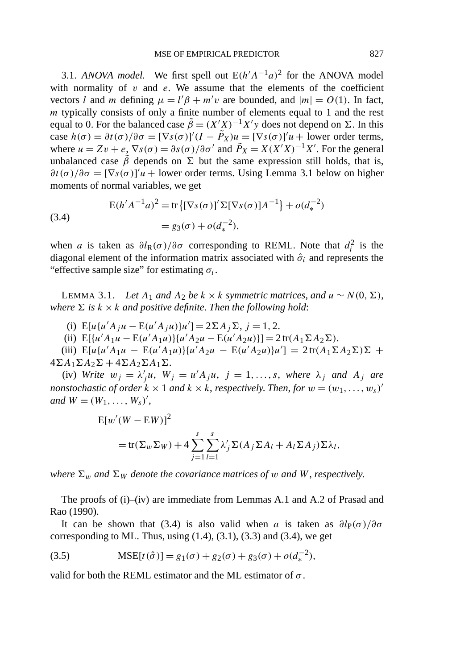3.1. *ANOVA model.* We first spell out  $E(h'A^{-1}a)^2$  for the ANOVA model with normality of  $v$  and  $e$ . We assume that the elements of the coefficient vectors *l* and *m* defining  $\mu = l'\beta + m'v$  are bounded, and  $|m| = O(1)$ . In fact, *m* typically consists of only a finite number of elements equal to 1 and the rest equal to 0. For the balanced case  $\tilde{\beta} = (X'X)^{-1}X'y$  does not depend on Σ. In this case  $h(\sigma) = \partial t(\sigma) / \partial \sigma = [\nabla s(\sigma)]' (I - \tilde{P}_X) u = [\nabla s(\sigma)]' u + \text{lower order terms},$ where  $u = Zv + e$ ,  $\nabla s(\sigma) = \partial s(\sigma) / \partial \sigma'$  and  $\tilde{P}_X = X(X'X)^{-1}X'$ . For the general unbalanced case  $\tilde{\beta}$  depends on  $\Sigma$  but the same expression still holds, that is,  $\frac{\partial t(\sigma)}{\partial \sigma} = [\nabla s(\sigma)]^{\prime} u +$  lower order terms. Using Lemma 3.1 below on higher moments of normal variables, we get

(3.4)  
\n
$$
E(h'A^{-1}a)^2 = tr \{ [\nabla s(\sigma)]' \Sigma [\nabla s(\sigma)] A^{-1} + o(d_*^{-2})
$$
\n
$$
= g_3(\sigma) + o(d_*^{-2}),
$$

when *a* is taken as  $\partial l_{R}(\sigma)/\partial \sigma$  corresponding to REML. Note that  $d_i^2$  is the diagonal element of the information matrix associated with  $\hat{\sigma}_i$  and represents the "effective sample size" for estimating  $\sigma_i$ .

LEMMA 3.1. *Let A*<sub>1</sub> *and A*<sub>2</sub> *be k* × *k symmetric matrices, and u* ∼ *N*(0*,* Σ)*, where*  $\Sigma$  *is*  $k \times k$  *and positive definite. Then the following hold:* 

(i)  $E[u\{u'A_ju - E(u'A_ju)\}u'] = 2\Sigma A_j \Sigma, j = 1, 2.$ 

(ii)  $E[{u'A_1u - E(u'A_1u)}\{u'A_2u - E(u'A_2u)\}] = 2tr(A_1 \Sigma A_2 \Sigma).$ 

 $\text{E}[u\{u'A_1u - \text{E}(u'A_1u)\}\{u'A_2u - \text{E}(u'A_2u)\}u'\} = 2\text{tr}(A_1\Sigma A_2\Sigma)\Sigma +$  $4\Sigma A_1 \Sigma A_2 \Sigma + 4\Sigma A_2 \Sigma A_1 \Sigma$ .

(iv) *Write*  $w_j = \lambda'_j u$ ,  $W_j = u'A_j u$ ,  $j = 1, ..., s$ , *where*  $\lambda_j$  *and*  $A_j$  *are nonstochastic of order*  $k \times 1$  *and*  $k \times k$ , *respectively. Then, for*  $w = (w_1, \ldots, w_s)'$ *and*  $W = (W_1, ..., W_s)^\prime$ ,

$$
E[w'(W - EW)]^2
$$
  
= tr( $\Sigma_w \Sigma_W$ ) + 4  $\sum_{j=1}^{s} \sum_{l=1}^{s} \lambda'_j \Sigma(A_j \Sigma A_l + A_l \Sigma A_j) \Sigma \lambda_l$ ,

*where*  $\Sigma_w$  *and*  $\Sigma_w$  *denote the covariance matrices of w and W*, *respectively.* 

The proofs of (i)–(iv) are immediate from Lemmas A.1 and A.2 of Prasad and Rao (1990).

It can be shown that (3.4) is also valid when *a* is taken as  $\partial l_P(\sigma)/\partial \sigma$ corresponding to ML. Thus, using  $(1.4)$ ,  $(3.1)$ ,  $(3.3)$  and  $(3.4)$ , we get

(3.5) 
$$
MSE[t(\hat{\sigma})] = g_1(\sigma) + g_2(\sigma) + g_3(\sigma) + o(d_*^{-2}),
$$

valid for both the REML estimator and the ML estimator of *σ* .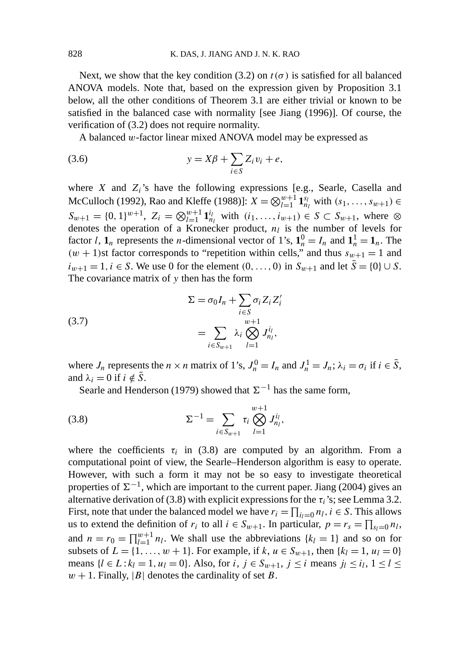Next, we show that the key condition (3.2) on  $t(\sigma)$  is satisfied for all balanced ANOVA models. Note that, based on the expression given by Proposition 3.1 below, all the other conditions of Theorem 3.1 are either trivial or known to be satisfied in the balanced case with normality [see Jiang (1996)]. Of course, the verification of (3.2) does not require normality.

A balanced *w*-factor linear mixed ANOVA model may be expressed as

$$
(3.6) \t\t y = X\beta + \sum_{i \in S} Z_i v_i + e,
$$

where *X* and *Zi*'s have the following expressions [e.g., Searle, Casella and McCulloch (1992), Rao and Kleffe (1988)]:  $X = \bigotimes_{l=1}^{w+1} \mathbf{1}_{n_l}^{s_l}$  with  $(s_1, \ldots, s_{w+1})$  ∈  $S_{w+1} = \{0, 1\}^{w+1}, Z_i = \bigotimes_{l=1}^{w+1} \mathbf{1}_{n_l}^{i_l}$  with  $(i_1, \ldots, i_{w+1}) \in S \subset S_{w+1}$ , where  $\otimes$ denotes the operation of a Kronecker product,  $n_l$  is the number of levels for factor *l*,  $\mathbf{1}_n$  represents the *n*-dimensional vector of 1's,  $\mathbf{1}_n^0 = I_n$  and  $\mathbf{1}_n^1 = \mathbf{1}_n$ . The  $(w + 1)$ st factor corresponds to "repetition within cells," and thus  $s_{w+1} = 1$  and *iw*+1 = 1*, i* ∈ *S*. We use 0 for the element  $(0, ..., 0)$  in  $S_{w+1}$  and let  $\overline{S} = \{0\} \cup S$ . The covariance matrix of *y* then has the form

(3.7) 
$$
\Sigma = \sigma_0 I_n + \sum_{i \in S} \sigma_i Z_i Z'_i
$$

$$
= \sum_{i \in S_{w+1}} \lambda_i \bigotimes_{l=1}^{w+1} J_{n_l}^{i_l},
$$

where  $J_n$  represents the  $n \times n$  matrix of 1's,  $J_n^0 = I_n$  and  $J_n^1 = J_n$ ;  $\lambda_i = \sigma_i$  if  $i \in \overline{S}$ , and  $\lambda_i = 0$  if  $i \notin \overline{S}$ .

Searle and Henderson (1979) showed that  $\Sigma^{-1}$  has the same form,

(3.8) 
$$
\Sigma^{-1} = \sum_{i \in S_{w+1}} \tau_i \bigotimes_{l=1}^{w+1} J_{n_l}^{i_l},
$$

where the coefficients  $\tau_i$  in (3.8) are computed by an algorithm. From a computational point of view, the Searle–Henderson algorithm is easy to operate. However, with such a form it may not be so easy to investigate theoretical properties of  $\Sigma^{-1}$ , which are important to the current paper. Jiang (2004) gives an alternative derivation of (3.8) with explicit expressions for the  $\tau_i$ 's; see Lemma 3.2. First, note that under the balanced model we have  $r_i = \prod_{i_l=0} n_l$ ,  $i \in S$ . This allows us to extend the definition of  $r_i$  to all  $i \in S_{w+1}$ . In particular,  $p = r_s = \prod_{s_l=0} n_l$ , and  $n = r_0 = \prod_{l=1}^{w+1} n_l$ . We shall use the abbreviations  $\{k_l = 1\}$  and so on for subsets of  $L = \{1, ..., w + 1\}$ . For example, if  $k, u \in S_{w+1}$ , then  $\{k_l = 1, u_l = 0\}$ means  $\{l \in L : k_l = 1, u_l = 0\}$ . Also, for  $i, j \in S_{w+1}, j \le i$  means  $j_l \le i_l, 1 \le l \le k_l$  $w + 1$ . Finally, |*B*| denotes the cardinality of set *B*.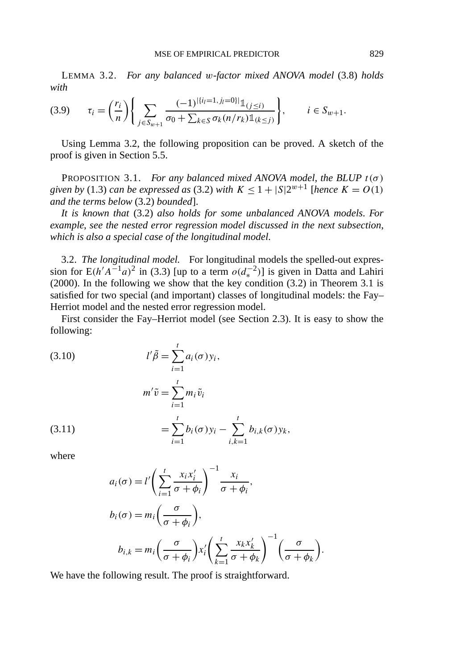LEMMA 3.2. *For any balanced w-factor mixed ANOVA model* (3.8) *holds with*

$$
(3.9) \qquad \tau_i = \left(\frac{r_i}{n}\right) \left\{ \sum_{j \in S_{w+1}} \frac{(-1)^{|\{i_l=1, j_l=0\}|} \mathbb{1}_{(j \le i)}}{\sigma_0 + \sum_{k \in S} \sigma_k(n/r_k) \mathbb{1}_{(k \le j)}} \right\}, \qquad i \in S_{w+1}.
$$

Using Lemma 3.2, the following proposition can be proved. A sketch of the proof is given in Section 5.5.

PROPOSITION 3.1. *For any balanced mixed ANOVA model, the BLUP*  $t(\sigma)$ *given by* (1.3) *can be expressed as* (3.2) *with*  $K \le 1 + |S|2^{w+1}$  [*hence*  $K = O(1)$ *and the terms below* (3.2) *bounded*].

*It is known that* (3.2) *also holds for some unbalanced ANOVA models*. *For example*, *see the nested error regression model discussed in the next subsection*, *which is also a special case of the longitudinal model*.

3.2. *The longitudinal model.* For longitudinal models the spelled-out expression for  $E(h'A^{-1}a)^2$  in (3.3) [up to a term  $o(d_*^{-2})$ ] is given in Datta and Lahiri (2000). In the following we show that the key condition  $(3.2)$  in Theorem 3.1 is satisfied for two special (and important) classes of longitudinal models: the Fay– Herriot model and the nested error regression model.

First consider the Fay–Herriot model (see Section 2.3). It is easy to show the following:

(3.10)  
\n
$$
l'\tilde{\beta} = \sum_{i=1}^{t} a_i(\sigma) y_i,
$$
\n
$$
m'\tilde{v} = \sum_{i=1}^{t} m_i \tilde{v}_i
$$
\n
$$
= \sum_{i=1}^{t} b_i(\sigma) y_i - \sum_{i,k=1}^{t} b_{i,k}(\sigma) y_k,
$$

where

$$
a_i(\sigma) = l' \left( \sum_{i=1}^t \frac{x_i x_i'}{\sigma + \phi_i} \right)^{-1} \frac{x_i}{\sigma + \phi_i},
$$
  
\n
$$
b_i(\sigma) = m_i \left( \frac{\sigma}{\sigma + \phi_i} \right),
$$
  
\n
$$
b_{i,k} = m_i \left( \frac{\sigma}{\sigma + \phi_i} \right) x_i' \left( \sum_{k=1}^t \frac{x_k x_k'}{\sigma + \phi_k} \right)^{-1} \left( \frac{\sigma}{\sigma + \phi_k} \right)
$$

*.*

We have the following result. The proof is straightforward.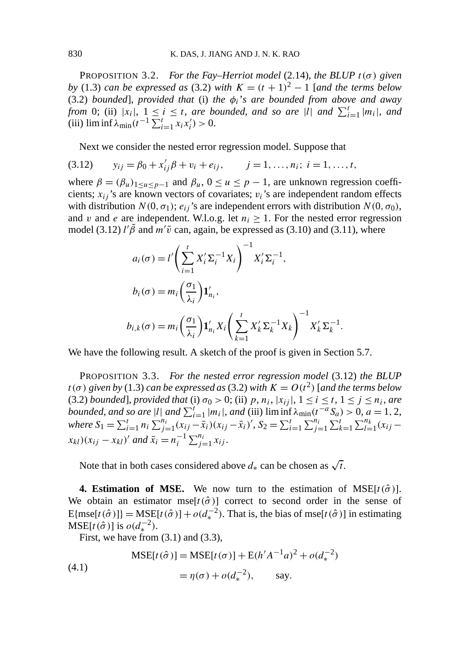PROPOSITION 3.2. *For the Fay–Herriot model* (2.14), *the BLUP*  $t(\sigma)$  *given by* (1.3) *can be expressed as* (3.2) *with*  $K = (t + 1)^2 - 1$  [*and the terms below* (3.2) *bounded*], *provided that* (i) *the φi*'*s are bounded from above and away from* 0; (ii)  $|x_i|, 1 \le i \le t$ , *are bounded*, *and so are* |*l*| *and*  $\sum_{i=1}^t |m_i|$ , *and*  $(iii)$   $\liminf \lambda_{\min}(t^{-1} \sum_{i=1}^{t} x_i x'_i) > 0.$ 

Next we consider the nested error regression model. Suppose that

(3.12) 
$$
y_{ij} = \beta_0 + x'_{ij}\beta + v_i + e_{ij}, \qquad j = 1, ..., n_i; i = 1, ..., t,
$$

where  $\beta = (\beta_u)_{1 \le u \le p-1}$  and  $\beta_u$ ,  $0 \le u \le p-1$ , are unknown regression coefficients;  $x_{ij}$ 's are known vectors of covariates;  $v_i$ 's are independent random effects with distribution  $N(0, \sigma_1)$ ;  $e_{ij}$ 's are independent errors with distribution  $N(0, \sigma_0)$ , and *v* and *e* are independent. W.l.o.g. let  $n_i \geq 1$ . For the nested error regression model (3.12)  $\ell/\tilde{\beta}$  and  $m'\tilde{\upsilon}$  can, again, be expressed as (3.10) and (3.11), where

$$
a_i(\sigma) = l' \left(\sum_{i=1}^t X_i' \Sigma_i^{-1} X_i\right)^{-1} X_i' \Sigma_i^{-1},
$$
  
\n
$$
b_i(\sigma) = m_i \left(\frac{\sigma_1}{\lambda_i}\right) \mathbf{1}_{n_i}',
$$
  
\n
$$
b_{i,k}(\sigma) = m_i \left(\frac{\sigma_1}{\lambda_i}\right) \mathbf{1}_{n_i}' X_i \left(\sum_{k=1}^t X_k' \Sigma_k^{-1} X_k\right)^{-1} X_k' \Sigma_k^{-1}.
$$

We have the following result. A sketch of the proof is given in Section 5.7.

PROPOSITION 3.3. *For the nested error regression model* (3.12) *the BLUP*  $t(\sigma)$  *given by* (1.3) *can be expressed as* (3.2) *with*  $K = O(t^2)$  [*and the terms below* (3.2) *bounded*], *provided that* (i)  $\sigma_0 > 0$ ; (ii)  $p, n_i, |x_{ij}|, 1 \le i \le t, 1 \le j \le n_i$ , are *bounded, and so are* |*l*| *and*  $\sum_{i=1}^{t} |m_i|$ *, and* (iii)  $\liminf \lambda_{\min}(t^{-a}S_a) > 0$ , *a* = 1*,* 2, where  $S_1 = \sum_{i=1}^t n_i \sum_{j=1}^{n_i} (x_{ij} - \bar{x}_i)(x_{ij} - \bar{x}_i)'$ ,  $S_2 = \sum_{i=1}^t \sum_{j=1}^{n_i} \sum_{k=1}^t \sum_{l=1}^{n_k} (x_{ij} - \bar{x}_i)$  $f(x_{ij} - x_{kl})'$  *and*  $\bar{x}_i = n_i^{-1} \sum_{j=1}^{n_i} x_{ij}$ .

Note that in both cases considered above  $d_*$  can be chosen as  $\sqrt{t}$ .

**4. Estimation of MSE.** We now turn to the estimation of MSE $[t(\hat{\sigma})]$ . We obtain an estimator mse $[t(\hat{\sigma})]$  correct to second order in the sense of  $E{\text{[mse}[t(\hat{\sigma})]} = \text{MSE}[t(\hat{\sigma})] + o(d_{\star}^{-2})$ . That is, the bias of mse[ $t(\hat{\sigma})$ ] in estimating  $MSE[t(\hat{\sigma})]$  is  $o(d_*^{-2})$ .

First, we have from  $(3.1)$  and  $(3.3)$ ,

(4.1)  
\n
$$
MSE[t(\hat{\sigma})] = MSE[t(\sigma)] + E(h'A^{-1}a)^{2} + o(d_{*}^{-2})
$$
\n
$$
= \eta(\sigma) + o(d_{*}^{-2}), \quad \text{say.}
$$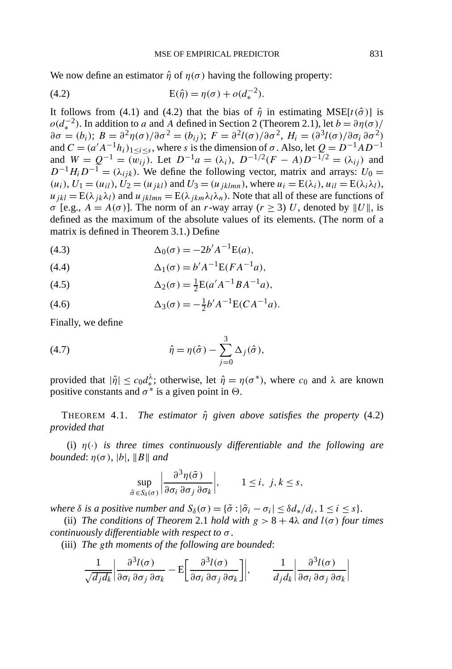We now define an estimator  $\hat{\eta}$  of  $\eta(\sigma)$  having the following property:

(4.2) 
$$
E(\hat{\eta}) = \eta(\sigma) + o(d_*^{-2}).
$$

It follows from (4.1) and (4.2) that the bias of  $\hat{\eta}$  in estimating MSE[ $t(\hat{\sigma})$ ] is  $o(d<sub>x</sub><sup>-2</sup>)$ . In addition to *a* and *A* defined in Section 2 (Theorem 2.1), let  $b = \partial \eta(\sigma)$ /  $∂σ = (b_i)$ ;  $B = ∂^2η(σ)/∂σ^2 = (b_{ij})$ ;  $F = ∂^2l(σ)/∂σ^2$ ,  $H_i = (∂^3l(σ)/∂σ_i ∂^2)$ and  $C = (a'A^{-1}h_i)_{1 \le i \le s}$ , where *s* is the dimension of  $\sigma$ . Also, let  $Q = D^{-1}AD^{-1}$ and  $W = Q^{-1} = (\overline{w_{ij}})$ . Let  $D^{-1}a = (\lambda_i)$ ,  $D^{-1/2}(F - A)D^{-1/2} = (\lambda_{ij})$  and  $D^{-1}H_iD^{-1} = (\lambda_{ijk})$ . We define the following vector, matrix and arrays:  $U_0 =$  $(u_i)$ ,  $U_1 = (u_{il})$ ,  $U_2 = (u_{jkl})$  and  $U_3 = (u_{jklmn})$ , where  $u_i = E(\lambda_i)$ ,  $u_{il} = E(\lambda_i \lambda_l)$ ,  $u_{ikl} = E(\lambda_{ik}\lambda_l)$  and  $u_{iklmn} = E(\lambda_{ikm}\lambda_l\lambda_n)$ . Note that all of these are functions of *σ* [e.g.,  $A = A(\sigma)$ ]. The norm of an *r*-way array ( $r \ge 3$ ) *U*, denoted by ||*U*||, is defined as the maximum of the absolute values of its elements. (The norm of a matrix is defined in Theorem 3.1.) Define

(4.3) 
$$
\Delta_0(\sigma) = -2b' A^{-1} E(a),
$$

(4.4) 
$$
\Delta_1(\sigma) = b' A^{-1} E(FA^{-1}a),
$$

(4.5) 
$$
\Delta_2(\sigma) = \frac{1}{2} E(a'A^{-1}BA^{-1}a),
$$

(4.6) 
$$
\Delta_3(\sigma) = -\frac{1}{2}b'A^{-1}E(CA^{-1}a).
$$

Finally, we define

(4.7) 
$$
\hat{\eta} = \eta(\hat{\sigma}) - \sum_{j=0}^{3} \Delta_j(\hat{\sigma}),
$$

provided that  $|\hat{\eta}| \le c_0 d_*^{\lambda}$ ; otherwise, let  $\hat{\eta} = \eta(\sigma^*)$ , where  $c_0$  and  $\lambda$  are known positive constants and  $\sigma^*$  is a given point in  $\Theta$ .

THEOREM 4.1. *The estimator η*ˆ *given above satisfies the property* (4.2) *provided that*

(i) *η(*·*) is three times continuously differentiable and the following are*  $bounded: \eta(\sigma), |b|, ||B||$  and

$$
\sup_{\tilde{\sigma}\in S_{\delta}(\sigma)}\left|\frac{\partial^3 \eta(\tilde{\sigma})}{\partial \sigma_i \partial \sigma_j \partial \sigma_k}\right|, \qquad 1 \le i, j, k \le s,
$$

*where*  $\delta$  *is a positive number and*  $S_{\delta}(\sigma) = {\tilde{\sigma} : |\tilde{\sigma}_i - \sigma_i| \leq \delta d_* / d_i, 1 \leq i \leq s}.$ 

(ii) *The conditions of Theorem 2.1 hold with*  $g > 8 + 4\lambda$  *and*  $l(\sigma)$  *four times continuously differentiable with respect to σ* .

(iii) *The gth moments of the following are bounded*:

$$
\frac{1}{\sqrt{d_j d_k}} \left| \frac{\partial^3 l(\sigma)}{\partial \sigma_i \partial \sigma_j \partial \sigma_k} - \mathbf{E} \left[ \frac{\partial^3 l(\sigma)}{\partial \sigma_i \partial \sigma_j \partial \sigma_k} \right] \right|, \qquad \frac{1}{d_j d_k} \left| \frac{\partial^3 l(\sigma)}{\partial \sigma_i \partial \sigma_j \partial \sigma_k} \right|
$$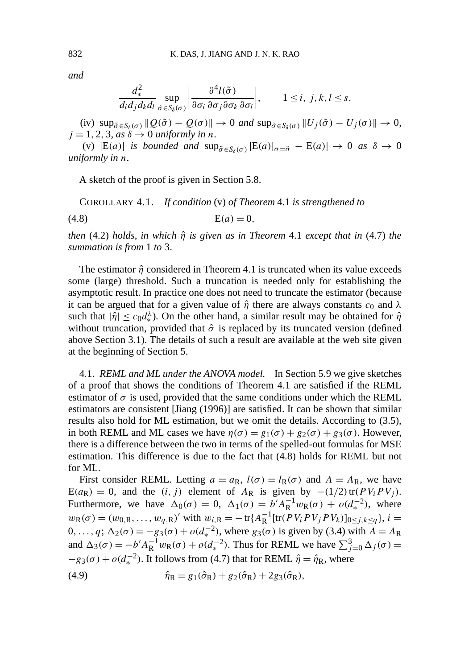*and*

$$
\frac{d_*^2}{d_i d_j d_k d_l} \sup_{\tilde{\sigma} \in S_{\delta}(\sigma)} \left| \frac{\partial^4 l(\tilde{\sigma})}{\partial \sigma_i \partial \sigma_j \partial \sigma_k \partial \sigma_l} \right|, \qquad 1 \le i, j, k, l \le s.
$$

 $\sup_{\tilde{\sigma}\in S_{\delta}(\sigma)}$   $\|Q(\tilde{\sigma}) - Q(\sigma)\| \to 0$  *and*  $\sup_{\tilde{\sigma}\in S_{\delta}(\sigma)}$   $\|U_j(\tilde{\sigma}) - U_j(\sigma)\| \to 0$ ,  $j = 1, 2, 3, as \delta \rightarrow 0$  *uniformly in n*.

(v)  $|E(a)|$  *is bounded and*  $\sup_{\tilde{\sigma}\in S_{\delta}(\sigma)} |E(a)|_{\sigma=\tilde{\sigma}} - E(a)| \rightarrow 0$  *as*  $\delta \rightarrow 0$ *uniformly in n*.

A sketch of the proof is given in Section 5.8.

COROLLARY 4.1. *If condition* (v) *of Theorem* 4.1 *is strengthened to*

(4.8)  $E(a) = 0$ ,

*then* (4.2) *holds*, *in which η*ˆ *is given as in Theorem* 4.1 *except that in* (4.7) *the summation is from* 1 *to* 3.

The estimator  $\hat{\eta}$  considered in Theorem 4.1 is truncated when its value exceeds some (large) threshold. Such a truncation is needed only for establishing the asymptotic result. In practice one does not need to truncate the estimator (because it can be argued that for a given value of  $\hat{\eta}$  there are always constants  $c_0$  and  $\lambda$ such that  $|\hat{\eta}| \leq c_0 d_*^{\lambda}$ ). On the other hand, a similar result may be obtained for  $\hat{\eta}$ without truncation, provided that  $\hat{\sigma}$  is replaced by its truncated version (defined above Section 3.1). The details of such a result are available at the web site given at the beginning of Section 5.

4.1. *REML and ML under the ANOVA model.* In Section 5.9 we give sketches of a proof that shows the conditions of Theorem 4.1 are satisfied if the REML estimator of  $\sigma$  is used, provided that the same conditions under which the REML estimators are consistent [Jiang (1996)] are satisfied. It can be shown that similar results also hold for ML estimation, but we omit the details. According to (3.5), in both REML and ML cases we have  $η(σ) = g<sub>1</sub>(σ) + g<sub>2</sub>(σ) + g<sub>3</sub>(σ)$ . However, there is a difference between the two in terms of the spelled-out formulas for MSE estimation. This difference is due to the fact that (4.8) holds for REML but not for ML.

First consider REML. Letting  $a = a_R$ ,  $l(\sigma) = l_R(\sigma)$  and  $A = A_R$ , we have  $E(a_R) = 0$ , and the *(i, j)* element of  $A_R$  is given by  $-(1/2)$ tr $(PV_iPV_j)$ . Furthermore, we have  $\Delta_0(\sigma) = 0$ ,  $\Delta_1(\sigma) = b^{\prime} A_R^{-1} w_R(\sigma) + o(d_*^{-2})$ , where  $w_R(\sigma) = (w_{0,R}, \ldots, w_{q,R})'$  with  $w_{i,R} = -\text{tr}\{A_R^{-1}[\text{tr}(P V_i PV_j PV_k)]_{0 \leq j,k \leq q}\}, i =$  $0, ..., q$ ; Δ<sub>2</sub>(σ) = −*g*<sub>3</sub>(σ) + *o*( $d<sub>∗</sub><sup>-2</sup>$ ), where *g*<sub>3</sub>(σ) is given by (3.4) with *A* = *A*<sub>R</sub> and  $\Delta_3(\sigma) = -b'A_R^{-1}w_R(\sigma) + o(d_*^{-2})$ . Thus for REML we have  $\sum_{j=0}^3 \Delta_j(\sigma) =$  $-g_3(\sigma) + o(d_*^{-2})$ . It follows from (4.7) that for REML  $\hat{\eta} = \hat{\eta}_R$ , where

(4.9) 
$$
\hat{\eta}_{R} = g_1(\hat{\sigma}_{R}) + g_2(\hat{\sigma}_{R}) + 2g_3(\hat{\sigma}_{R}),
$$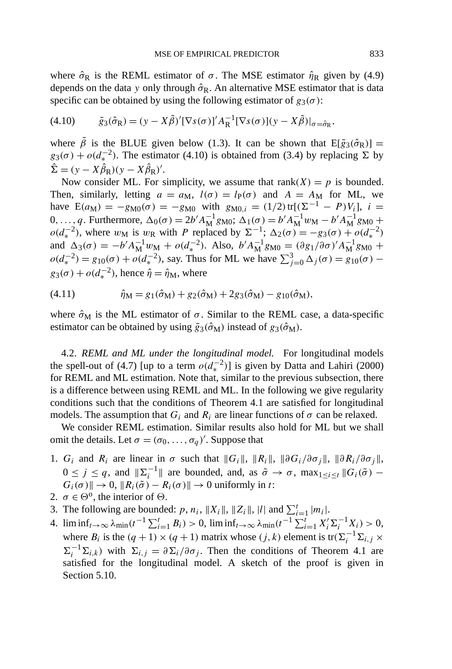where  $\hat{\sigma}_R$  is the REML estimator of  $\sigma$ . The MSE estimator  $\hat{\eta}_R$  given by (4.9) depends on the data *y* only through  $\hat{\sigma}_{R}$ . An alternative MSE estimator that is data specific can be obtained by using the following estimator of  $g_3(\sigma)$ :

$$
(4.10) \qquad \tilde{g}_3(\hat{\sigma}_R) = (y - X\tilde{\beta})'[\nabla s(\sigma)]' A_R^{-1}[\nabla s(\sigma)](y - X\tilde{\beta})|_{\sigma = \hat{\sigma}_R},
$$

where  $\tilde{\beta}$  is the BLUE given below (1.3). It can be shown that  $E[\tilde{g}_3(\hat{\sigma}_R)] =$  $g_3(\sigma) + o(d_*^{-2})$ . The estimator (4.10) is obtained from (3.4) by replacing  $\Sigma$  by  $\hat{\Sigma} = (y - X\hat{\beta}_{R})(y - X\hat{\beta}_{R})'.$ 

Now consider ML. For simplicity, we assume that  $rank(X) = p$  is bounded. Then, similarly, letting  $a = a_M$ ,  $l(\sigma) = l_P(\sigma)$  and  $A = A_M$  for ML, we have  $E(a_M) = -g_{M0}(\sigma) = -g_{M0}$  with  $g_{M0,i} = (1/2) tr[(\Sigma^{-1} - P)V_i]$ ,  $i =$ 0*,...,q*. Furthermore, Δ<sub>0</sub>(σ) = 2*b*<sup>*'*</sup> $A_M^{-1}$ g<sub>M0</sub>; Δ<sub>1</sub>(σ) = *b<sup>'</sup>* $A_M^{-1}$ *w*<sub>M</sub> − *b*<sup>'</sup> $A_M^{-1}$ g<sub>M0</sub> +  $o(d_*^{-2})$ , where  $w_M$  is  $w_R$  with *P* replaced by  $\Sigma^{-1}$ ;  $\Delta_2(\sigma) = -g_3(\sigma) + o(d_*^{-2})$ and  $\Delta_3(\sigma) = -b'A_M^{-1}w_M + o(d_*^{-2})$ . Also,  $b'A_M^{-1}g_{M0} = (\partial g_1/\partial \sigma)'A_M^{-1}g_{M0} +$  $o(d_*^{-2}) = g_{10}(\sigma) + o(d_*^{-2})$ , say. Thus for ML we have  $\sum_{j=0}^{3} \Delta_j(\sigma) = g_{10}(\sigma)$  $g_3(\sigma) + o(d_*^{-2})$ , hence  $\hat{\eta} = \hat{\eta}_M$ , where

(4.11) 
$$
\hat{\eta}_M = g_1(\hat{\sigma}_M) + g_2(\hat{\sigma}_M) + 2g_3(\hat{\sigma}_M) - g_{10}(\hat{\sigma}_M),
$$

where  $\hat{\sigma}_{\text{M}}$  is the ML estimator of  $\sigma$ . Similar to the REML case, a data-specific estimator can be obtained by using  $\tilde{g}_3(\hat{\sigma}_M)$  instead of  $g_3(\hat{\sigma}_M)$ .

4.2. *REML and ML under the longitudinal model.* For longitudinal models the spell-out of (4.7) [up to a term  $o(d<sub>∗</sub><sup>-2</sup>)$ ] is given by Datta and Lahiri (2000) for REML and ML estimation. Note that, similar to the previous subsection, there is a difference between using REML and ML. In the following we give regularity conditions such that the conditions of Theorem 4.1 are satisfied for longitudinal models. The assumption that  $G_i$  and  $R_i$  are linear functions of  $\sigma$  can be relaxed.

We consider REML estimation. Similar results also hold for ML but we shall omit the details. Let  $\sigma = (\sigma_0, \ldots, \sigma_q)'$ . Suppose that

- 1. *G<sub>i</sub>* and  $R_i$  are linear in  $\sigma$  such that  $||G_i||$ ,  $||R_i||$ ,  $||\partial G_i/\partial \sigma_j||$ ,  $||\partial R_i/\partial \sigma_j||$ ,  $0 \le j \le q$ , and  $\|\Sigma_i^{-1}\|$  are bounded, and, as  $\tilde{\sigma} \to \sigma$ ,  $\max_{1 \le i \le t} \|G_i(\tilde{\sigma}) G_i(\sigma)$   $\to$  0,  $\|R_i(\tilde{\sigma}) - R_i(\sigma)\|$   $\to$  0 uniformly in *t*:
- 2.  $\sigma \in \Theta^0$ , the interior of  $\Theta$ .
- 3. The following are bounded:  $p, n_i$ ,  $||X_i||$ ,  $||Z_i||$ ,  $|l|$  and  $\sum_{i=1}^{t} |m_i|$ .
- 4.  $\liminf_{t\to\infty} \lambda_{\min}(t^{-1}\sum_{i=1}^t B_i) > 0$ ,  $\liminf_{t\to\infty} \lambda_{\min}(t^{-1}\sum_{i=1}^t X_i' \sum_i^{-1} X_i) > 0$ , where *B<sub>i</sub>* is the  $(q + 1) \times (q + 1)$  matrix whose  $(j, k)$  element is tr $(\Sigma_i^{-1} \Sigma_{i,j} \times$  $\Sigma_i^{-1} \Sigma_{i,k}$ ) with  $\Sigma_{i,j} = \partial \Sigma_i / \partial \sigma_j$ . Then the conditions of Theorem 4.1 are satisfied for the longitudinal model. A sketch of the proof is given in Section 5.10.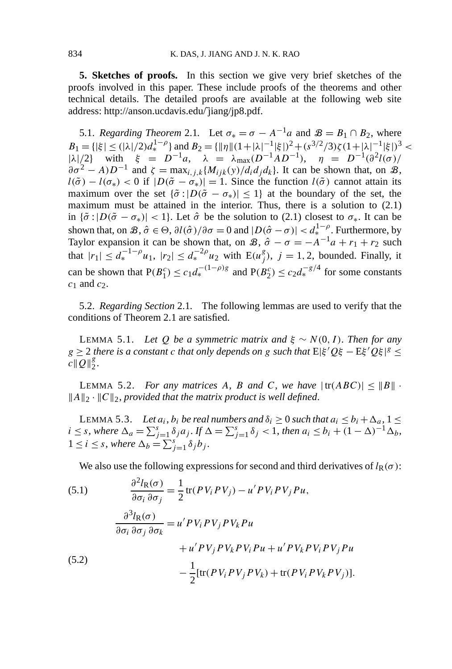**5. Sketches of proofs.** In this section we give very brief sketches of the proofs involved in this paper. These include proofs of the theorems and other technical details. The detailed proofs are available at the following web site address: http://anson.ucdavis.edu/jiang/jp8.pdf.

5.1. *Regarding Theorem* 2.1. Let  $\sigma_* = \sigma - A^{-1}a$  and  $\mathcal{B} = B_1 \cap B_2$ , where  $B_1 = {\vert \xi \vert \leq (|\lambda|/2)d_*^{1-\rho}}$  and  $B_2 = {\vert \vert \eta \vert \vert (1+|\lambda|^{-1}|\xi|)^2 + (s^{3/2}/3)\zeta(1+|\lambda|^{-1}|\xi|)^3}$  $|\lambda|/2$  with  $\xi = D^{-1}a$ ,  $\lambda = \lambda_{\text{max}}(D^{-1}AD^{-1})$ ,  $\eta = D^{-1}(\partial^2 l(\sigma))$  $\partial \sigma^2 - A/D^{-1}$  and  $\zeta = \max_{i,j,k} \{M_{ijk}(y)/d_i d_j d_k\}$ . It can be shown that, on  $\mathcal{B}$ ,  $l(\tilde{\sigma}) - l(\sigma_*) < 0$  if  $|D(\tilde{\sigma} - \sigma_*)| = 1$ . Since the function  $l(\tilde{\sigma})$  cannot attain its maximum over the set  $\{\tilde{\sigma} : |D(\tilde{\sigma} - \sigma_*)| \leq 1\}$  at the boundary of the set, the maximum must be attained in the interior. Thus, there is a solution to (2.1) in  $\{\tilde{\sigma} : |D(\tilde{\sigma} - \sigma_*)| < 1\}$ . Let  $\hat{\sigma}$  be the solution to (2.1) closest to  $\sigma_*$ . It can be shown that, on  $\mathcal{B}, \hat{\sigma} \in \Theta$ ,  $\partial l(\hat{\sigma})/\partial \sigma = 0$  and  $|D(\hat{\sigma} - \sigma)| < d_{*}^{1-\rho}$ . Furthermore, by Taylor expansion it can be shown that, on  $\mathcal{B}, \hat{\sigma} - \sigma = -A^{-1}a + r_1 + r_2$  such that  $|r_1| \leq d_*^{-1-\rho}u_1$ ,  $|r_2| \leq d_*^{-2\rho}u_2$  with  $E(u_j^g)$ ,  $j = 1, 2$ , bounded. Finally, it can be shown that  $P(B_1^c) \le c_1 d_*^{-(1-\rho)g}$  and  $P(B_2^c) \le c_2 d_*^{-g/4}$  for some constants *c*<sup>1</sup> and *c*2.

5.2. *Regarding Section* 2.1*.* The following lemmas are used to verify that the conditions of Theorem 2.1 are satisfied.

**LEMMA 5.1.** *Let Q be a symmetric matrix and*  $\xi \sim N(0, I)$ *. Then for any*  $g \geq 2$  *there is a constant c that only depends on <i>g such that*  $E|\xi'Q\xi - E\xi'Q\xi|$ <sup>*g*</sup>  $\leq$  $c\|\overline{Q}\|_2^g.$ 

LEMMA 5.2. *For any matrices* A, B and C, we have  $|\text{tr}(ABC)| \leq ||B||$ .  $||A||_2 \cdot ||C||_2$ , provided that the matrix product is well defined.

LEMMA 5.3. *Let*  $a_i$ ,  $b_i$  *be real numbers and*  $\delta_i \geq 0$  *such that*  $a_i \leq b_i + \Delta_a$ ,  $1 \leq$  $i \leq s$ , where  $\Delta_a = \sum_{j=1}^s \delta_j a_j$ . If  $\Delta = \sum_{j=1}^s \delta_j < 1$ , then  $a_i \leq b_i + (1 - \Delta)^{-1} \Delta_b$ ,  $1 \leq i \leq s$ , where  $\Delta_b = \sum_{j=1}^s \delta_j b_j$ .

We also use the following expressions for second and third derivatives of  $l_R(\sigma)$ :

(5.1)  
\n
$$
\frac{\partial^2 I_R(\sigma)}{\partial \sigma_i \partial \sigma_j} = \frac{1}{2} tr(PV_i P V_j) - u' P V_i P V_j P u,
$$
\n
$$
\frac{\partial^3 I_R(\sigma)}{\partial \sigma_i \partial \sigma_j \partial \sigma_k} = u' P V_i P V_j P V_k P u
$$
\n
$$
+ u' P V_j P V_k P V_i P u + u' P V_k P V_i P V_j P u
$$
\n(5.2)  
\n
$$
- \frac{1}{2} [tr(P V_i P V_j P V_k) + tr(P V_i P V_k P V_j)].
$$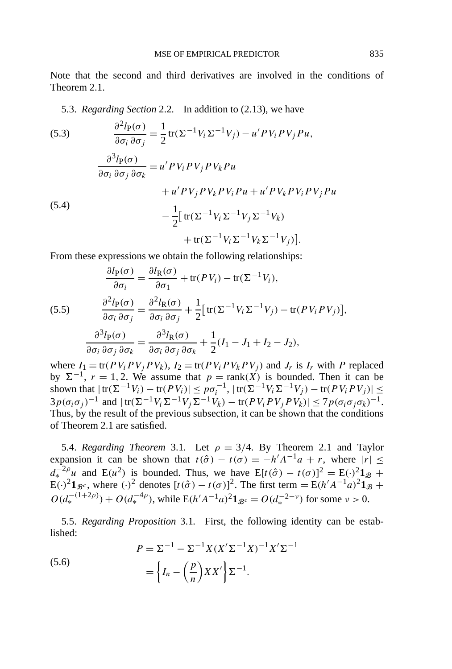Note that the second and third derivatives are involved in the conditions of Theorem 2.1.

5.3. *Regarding Section* 2.2*.* In addition to (2.13), we have

(5.3)  
\n
$$
\frac{\partial^2 l_P(\sigma)}{\partial \sigma_i \partial \sigma_j} = \frac{1}{2} tr(\Sigma^{-1} V_i \Sigma^{-1} V_j) - u' P V_i P V_j P u,
$$
\n
$$
\frac{\partial^3 l_P(\sigma)}{\partial \sigma_i \partial \sigma_j \partial \sigma_k} = u' P V_i P V_j P V_k P u
$$
\n
$$
+ u' P V_j P V_k P V_i P u + u' P V_k P V_i P V_j P u
$$
\n(5.4)  
\n
$$
- \frac{1}{2} [tr(\Sigma^{-1} V_i \Sigma^{-1} V_j \Sigma^{-1} V_k) + tr(\Sigma^{-1} V_i \Sigma^{-1} V_k \Sigma^{-1} V_j)].
$$

From these expressions we obtain the following relationships:

(5.5)  
\n
$$
\frac{\partial l_{P}(\sigma)}{\partial \sigma_{i}} = \frac{\partial l_{R}(\sigma)}{\partial \sigma_{1}} + tr(PV_{i}) - tr(\Sigma^{-1}V_{i}),
$$
\n
$$
\frac{\partial^{2} l_{P}(\sigma)}{\partial \sigma_{i} \partial \sigma_{j}} = \frac{\partial^{2} l_{R}(\sigma)}{\partial \sigma_{i} \partial \sigma_{j}} + \frac{1}{2} [tr(\Sigma^{-1} V_{i} \Sigma^{-1} V_{j}) - tr(PV_{i} PV_{j})],
$$
\n
$$
\frac{\partial^{3} l_{P}(\sigma)}{\partial \sigma_{i} \partial \sigma_{j} \partial \sigma_{k}} = \frac{\partial^{3} l_{R}(\sigma)}{\partial \sigma_{i} \partial \sigma_{j} \partial \sigma_{k}} + \frac{1}{2} (I_{1} - J_{1} + I_{2} - J_{2}),
$$

where  $I_1 = \text{tr}(PV_i PV_j PV_k)$ ,  $I_2 = \text{tr}(PV_i PV_k PV_j)$  and  $J_r$  is  $I_r$  with P replaced by  $\Sigma^{-1}$ ,  $r = 1, 2$ . We assume that  $p = \text{rank}(X)$  is bounded. Then it can be shown that  $|\text{tr}(\Sigma^{-1}V_i) - \text{tr}(PV_i)| \leq p\sigma_i^{-1}, |\text{tr}(\Sigma^{-1}V_i\Sigma^{-1}V_j) - \text{tr}(PV_iPV_j)| \leq$  $3p(\sigma_i \sigma_j)^{-1}$  and  $|\text{tr}(\Sigma^{-1} V_i \Sigma^{-1} V_j \Sigma^{-1} V_k) - \text{tr}(PV_i PV_j PV_k)| \leq 7p(\sigma_i \sigma_j \sigma_k)^{-1}$ . Thus, by the result of the previous subsection, it can be shown that the conditions of Theorem 2.1 are satisfied.

5.4. *Regarding Theorem* 3.1. Let  $\rho = 3/4$ . By Theorem 2.1 and Taylor expansion it can be shown that  $t(\hat{\sigma}) - t(\sigma) = -h'A^{-1}a + r$ , where  $|r| \leq$  $d_{*}^{-2\rho}u$  and E( $u^{2}$ ) is bounded. Thus, we have E[ $t(\hat{\sigma}) - t(\sigma)$ ]<sup>2</sup> = E(·)<sup>2</sup>**1**<sub>B</sub> +  $E(\cdot)^2 \mathbf{1}_{\mathcal{B}^c}$ , where  $(\cdot)^2$  denotes  $[t(\hat{\sigma}) - t(\sigma)]^2$ . The first term =  $E(h'A^{-1}a)^2 \mathbf{1}_{\mathcal{B}}$  +  $O(d_*^{-(1+2\rho)}) + O(d_*^{-4\rho})$ , while  $E(h'A^{-1}a)^2 \mathbf{1}_{\mathcal{B}^c} = O(d_*^{-2-\nu})$  for some  $\nu > 0$ .

5.5. *Regarding Proposition* 3.1*.* First, the following identity can be established:

(5.6)  

$$
P = \Sigma^{-1} - \Sigma^{-1} X (X' \Sigma^{-1} X)^{-1} X' \Sigma^{-1}
$$

$$
= \left\{ I_n - \left( \frac{p}{n} \right) X X' \right\} \Sigma^{-1}.
$$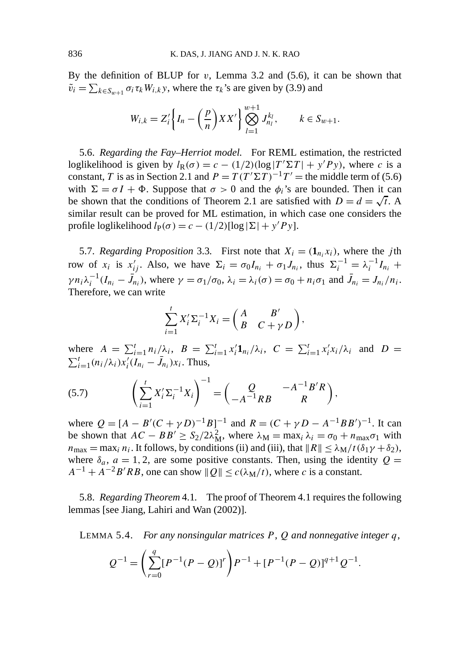By the definition of BLUP for *v*, Lemma 3.2 and (5.6), it can be shown that  $\tilde{v}_i = \sum_{k \in S_{w+1}} \sigma_i \tau_k W_{i,k}$ *y*, where the  $\tau_k$ 's are given by (3.9) and

$$
W_{i,k} = Z_i' \bigg\{ I_n - \bigg( \frac{p}{n} \bigg) XX' \bigg\} \bigotimes_{l=1}^{w+1} J_{n_l}^{k_l}, \qquad k \in S_{w+1}.
$$

5.6. *Regarding the Fay–Herriot model.* For REML estimation, the restricted loglikelihood is given by  $l_R(\sigma) = c - (1/2)(\log |T' \Sigma T| + y' P y)$ , where *c* is a constant, *T* is as in Section 2.1 and  $P = T(T^{\prime} \Sigma T)^{-1}T^{\prime}$  = the middle term of (5.6) with  $\Sigma = \sigma I + \Phi$ . Suppose that  $\sigma > 0$  and the  $\phi_i$ 's are bounded. Then it can be shown that the conditions of Theorem 2.1 are satisfied with  $D = d = \sqrt{t}$ . A similar result can be proved for ML estimation, in which case one considers the profile loglikelihood  $l_P(\sigma) = c - (1/2)[\log |\Sigma| + y'Py]$ .

5.7. *Regarding Proposition* 3.3. First note that  $X_i = (\mathbf{1}_{n_i} x_i)$ , where the *j*th row of  $x_i$  is  $x'_{ij}$ . Also, we have  $\Sigma_i = \sigma_0 I_{n_i} + \sigma_1 J_{n_i}$ , thus  $\Sigma_i^{-1} = \lambda_i^{-1} I_{n_i} +$  $\gamma n_i \lambda_i^{-1} (I_{n_i} - \bar{J}_{n_i}),$  where  $\gamma = \sigma_1/\sigma_0$ ,  $\lambda_i = \lambda_i(\sigma) = \sigma_0 + n_i \sigma_1$  and  $\bar{J}_{n_i} = J_{n_i}/n_i$ . Therefore, we can write

$$
\sum_{i=1}^{t} X_i' \Sigma_i^{-1} X_i = \begin{pmatrix} A & B' \\ B & C + \gamma D \end{pmatrix},
$$

where  $A = \sum_{i=1}^{t} n_i / \lambda_i$ ,  $B = \sum_{i=1}^{t} x_i' \mathbf{1}_{n_i} / \lambda_i$ ,  $C = \sum_{i=1}^{t} x_i' x_i / \lambda_i$  and  $D =$  $\sum_{i=1}^{t} (n_i/\lambda_i) x_i'(I_{n_i} - \bar{J}_{n_i}) x_i$ . Thus,

(5.7) 
$$
\left(\sum_{i=1}^{t} X_{i}^{\prime} \Sigma_{i}^{-1} X_{i}\right)^{-1} = \left(\begin{array}{cc} Q & -A^{-1} B^{\prime} R \\ -A^{-1} R B & R \end{array}\right),
$$

where  $Q = [A - B'(C + \gamma D)^{-1}B]^{-1}$  and  $R = (C + \gamma D - A^{-1}BB')^{-1}$ . It can be shown that  $AC - BB' \geq S_2/2\lambda_M^2$ , where  $\lambda_M = \max_i \lambda_i = \sigma_0 + n_{\max} \sigma_1$  with  $n_{\text{max}} = \max_i n_i$ . It follows, by conditions (ii) and (iii), that  $||R|| \leq \lambda_M / t (\delta_1 \gamma + \delta_2)$ , where  $\delta_a$ ,  $a = 1, 2$ , are some positive constants. Then, using the identity  $Q =$  $A^{-1} + A^{-2}B'RB$ , one can show  $||Q|| \leq c(\lambda_M/t)$ , where *c* is a constant.

5.8. *Regarding Theorem* 4.1*.* The proof of Theorem 4.1 requires the following lemmas [see Jiang, Lahiri and Wan (2002)].

LEMMA 5.4. *For any nonsingular matrices P* , *Q and nonnegative integer q*,

$$
Q^{-1} = \left(\sum_{r=0}^{q} [P^{-1}(P-Q)]^r\right) P^{-1} + [P^{-1}(P-Q)]^{q+1} Q^{-1}.
$$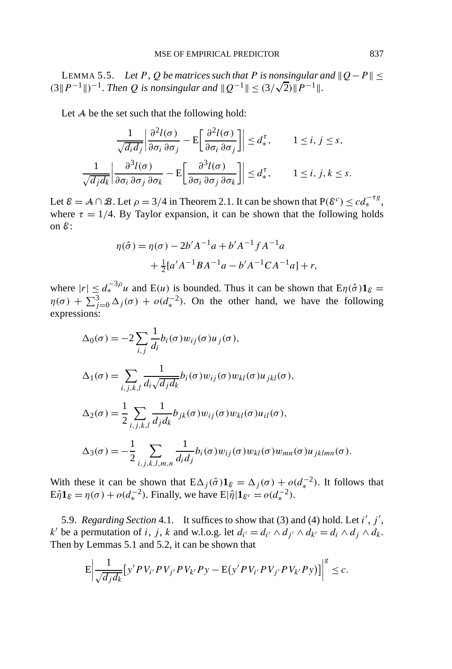LEMMA 5.5. Let  $P$ ,  $Q$  be matrices such that  $P$  is nonsingular and  $||Q - P|| \le$ *CEMMA 5.5. Let P, Q be matrices such that P is nonsingular a*  $(3||P^{-1}||)^{-1}$ *. Then Q is nonsingular and*  $||Q^{-1}|| \leq (3/\sqrt{2})||P^{-1}||$ .

Let A be the set such that the following hold:

$$
\frac{1}{\sqrt{d_i d_j}} \left| \frac{\partial^2 l(\sigma)}{\partial \sigma_i \partial \sigma_j} - \mathcal{E} \left[ \frac{\partial^2 l(\sigma)}{\partial \sigma_i \partial \sigma_j} \right] \right| \leq d_*^{\tau}, \qquad 1 \leq i, j \leq s,
$$

$$
\frac{1}{\sqrt{d_j d_k}} \left| \frac{\partial^3 l(\sigma)}{\partial \sigma_i \partial \sigma_j \partial \sigma_k} - \mathcal{E} \left[ \frac{\partial^3 l(\sigma)}{\partial \sigma_i \partial \sigma_j \partial \sigma_k} \right] \right| \leq d_*^{\tau}, \qquad 1 \leq i, j, k \leq s.
$$

Let  $\mathcal{E} = \mathcal{A} \cap \mathcal{B}$ . Let  $\rho = 3/4$  in Theorem 2.1. It can be shown that  $P(\mathcal{E}^c) \leq c d_*^{-\tau g}$ , where  $\tau = 1/4$ . By Taylor expansion, it can be shown that the following holds on E:

$$
\eta(\hat{\sigma}) = \eta(\sigma) - 2b'A^{-1}a + b'A^{-1}fA^{-1}a
$$

$$
+ \frac{1}{2}[a'A^{-1}BA^{-1}a - b'A^{-1}CA^{-1}a] + r,
$$

where  $|r| \leq d_*^{-3\rho}u$  and  $E(u)$  is bounded. Thus it can be shown that  $E\eta(\hat{\sigma})\mathbf{1}_{\mathcal{E}} =$  $\eta(\sigma) + \sum_{j=0}^{3} \Delta_j(\sigma) + o(d_*^{-2})$ . On the other hand, we have the following expressions:

$$
\Delta_0(\sigma) = -2 \sum_{i,j} \frac{1}{d_i} b_i(\sigma) w_{ij}(\sigma) u_j(\sigma),
$$
  
\n
$$
\Delta_1(\sigma) = \sum_{i,j,k,l} \frac{1}{d_i \sqrt{d_j d_k}} b_i(\sigma) w_{ij}(\sigma) w_{kl}(\sigma) u_{jkl}(\sigma),
$$
  
\n
$$
\Delta_2(\sigma) = \frac{1}{2} \sum_{i,j,k,l} \frac{1}{d_j d_k} b_{jk}(\sigma) w_{ij}(\sigma) w_{kl}(\sigma) u_{il}(\sigma),
$$
  
\n
$$
\Delta_3(\sigma) = -\frac{1}{2} \sum_{i,j,k,l,m,n} \frac{1}{d_i d_j} b_i(\sigma) w_{ij}(\sigma) w_{kl}(\sigma) w_{mn}(\sigma) u_{jklmn}(\sigma).
$$

With these it can be shown that  $E\Delta_j(\hat{\sigma})\mathbf{1}_{\mathcal{E}} = \Delta_j(\sigma) + o(d_*^{-2})$ . It follows that  $E\hat{\eta}1_{\mathcal{E}} = \eta(\sigma) + o(d_*^{-2})$ . Finally, we have  $E|\hat{\eta}|1_{\mathcal{E}^c} = o(d_*^{-2})$ .

5.9. *Regarding Section* 4.1*.* It suffices to show that (3) and (4) hold. Let *i* , *j* , *k*' be a permutation of *i*, *j*, *k* and w.l.o.g. let  $d_{i'} = d_{i'} \land d_{i'} \land d_{k'} = d_i \land d_j \land d_k$ . Then by Lemmas 5.1 and 5.2, it can be shown that

$$
E \Big| \frac{1}{\sqrt{d_j d_k}} \big[ y' P V_{i'} P V_{j'} P V_{k'} P y - E (y' P V_{i'} P V_{j'} P V_{k'} P y) \big] \Big|^g \leq c.
$$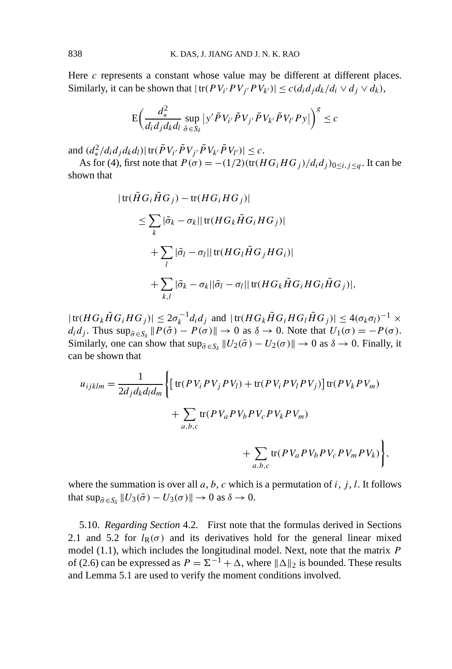Here *c* represents a constant whose value may be different at different places. Similarly, it can be shown that  $|\text{tr}(PV_{i'}PV_{j'}PV_{k'})| \leq c(d_i d_j d_k/d_i \vee d_j \vee d_k)$ ,

$$
\mathcal{E}\bigg(\frac{d_{*}^{2}}{d_{i}d_{j}d_{k}d_{l}}\sup_{\tilde{\sigma}\in S_{\delta}}\big|\mathbf{y}'\tilde{P}V_{i'}\tilde{P}V_{j'}\tilde{P}V_{k'}\tilde{P}V_{l'}P\mathbf{y}\big|\bigg)^{g}\leq c
$$

and  $(d_{*}^{2}/d_{i}d_{j}d_{k}d_{l})|\text{tr}(\tilde{P}V_{i'}\tilde{P}V_{j'}\tilde{P}V_{k'}\tilde{P}V_{l'})|\leq c.$ 

As for (4), first note that  $P(\sigma) = -(1/2)(\text{tr}(HG_iHG_j)/d_id_j)_{0 \le i,j \le q}$ . It can be shown that

$$
|\operatorname{tr}(\tilde{H}G_i\tilde{H}G_j) - \operatorname{tr}(HG_iHG_j)|
$$
  
\n
$$
\leq \sum_k |\tilde{\sigma}_k - \sigma_k| |\operatorname{tr}(HG_k\tilde{H}G_iHG_j)|
$$
  
\n
$$
+ \sum_l |\tilde{\sigma}_l - \sigma_l| |\operatorname{tr}(HG_l\tilde{H}G_jHG_i)|
$$
  
\n
$$
+ \sum_{k,l} |\tilde{\sigma}_k - \sigma_k| |\tilde{\sigma}_l - \sigma_l| |\operatorname{tr}(HG_k\tilde{H}G_iHG_l\tilde{H}G_j)|,
$$

 $|\text{tr}(HG_k\tilde{H}G_iHG_j)| \leq 2\sigma_k^{-1}d_id_j$  and  $|\text{tr}(HG_k\tilde{H}G_iHG_i\tilde{H}G_j)| \leq 4(\sigma_k\sigma_l)^{-1} \times$  $d_i d_j$ . Thus  $\sup_{\tilde{\sigma} \in S_\delta} ||P(\tilde{\sigma}) - P(\sigma)|| \to 0$  as  $\delta \to 0$ . Note that  $U_1(\sigma) = -P(\sigma)$ . Similarly, one can show that  $\sup_{\tilde{\sigma} \in S_\delta} ||U_2(\tilde{\sigma}) - U_2(\sigma)|| \to 0$  as  $\delta \to 0$ . Finally, it can be shown that

$$
u_{ijklm} = \frac{1}{2d_j d_k d_l d_m} \Biggl\{ \Biggl[ \text{tr}(PV_i PV_j PV_l) + \text{tr}(PV_i PV_l PV_l)V_j \Biggr] \text{tr}(PV_k PV_m) + \sum_{a,b,c} \text{tr}(PV_a PV_b PV_c PV_k PV_m) + \sum_{a,b,c} \text{tr}(PV_a PV_b PV_c PV_m PV_k) \Biggr\},\
$$

where the summation is over all  $a, b, c$  which is a permutation of  $i, j, l$ . It follows that  $\sup_{\tilde{\sigma} \in S_{\delta}} ||U_3(\tilde{\sigma}) - U_3(\sigma)|| \to 0$  as  $\delta \to 0$ .

5.10. *Regarding Section* 4.2*.* First note that the formulas derived in Sections 2.1 and 5.2 for  $l_R(\sigma)$  and its derivatives hold for the general linear mixed model (1.1), which includes the longitudinal model. Next, note that the matrix *P* of (2.6) can be expressed as  $P = \Sigma^{-1} + \Delta$ , where  $\|\Delta\|_2$  is bounded. These results and Lemma 5.1 are used to verify the moment conditions involved.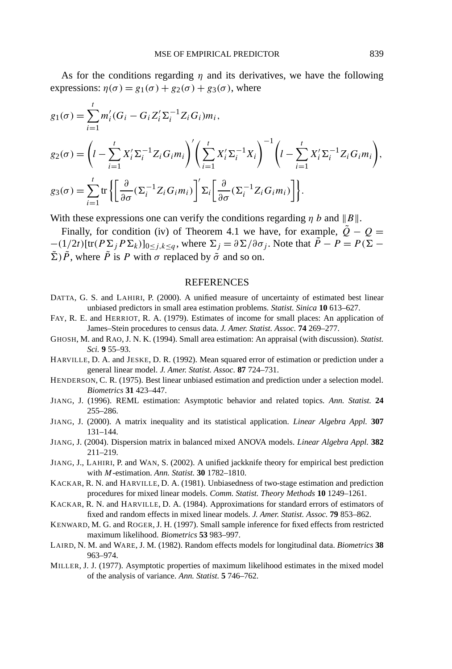As for the conditions regarding *η* and its derivatives, we have the following expressions:  $\eta(\sigma) = g_1(\sigma) + g_2(\sigma) + g_3(\sigma)$ , where

$$
g_1(\sigma) = \sum_{i=1}^t m'_i (G_i - G_i Z_i' \Sigma_i^{-1} Z_i G_i) m_i,
$$
  
\n
$$
g_2(\sigma) = \left( l - \sum_{i=1}^t X_i' \Sigma_i^{-1} Z_i G_i m_i \right)' \left( \sum_{i=1}^t X_i' \Sigma_i^{-1} X_i \right)^{-1} \left( l - \sum_{i=1}^t X_i' \Sigma_i^{-1} Z_i G_i m_i \right),
$$
  
\n
$$
g_3(\sigma) = \sum_{i=1}^t \text{tr} \left\{ \left[ \frac{\partial}{\partial \sigma} (\Sigma_i^{-1} Z_i G_i m_i) \right]' \Sigma_i \left[ \frac{\partial}{\partial \sigma} (\Sigma_i^{-1} Z_i G_i m_i) \right] \right\}.
$$

With these expressions one can verify the conditions regarding  $\eta b$  and  $||B||$ .

Finally, for condition (iv) of Theorem 4.1 we have, for example,  $\tilde{Q} - Q =$  $-(1/2t)$ [tr $(P \Sigma_j P \Sigma_k)$ ]<sub>0≤*j*,*k*≤*q*</sub>, where  $\Sigma_j = \partial \Sigma / \partial \sigma_j$ . Note that  $\tilde{P} - P = P(\Sigma - \Sigma_k)$  $(\Sigma) \tilde{P}$ , where  $\tilde{P}$  is *P* with  $\sigma$  replaced by  $\tilde{\sigma}$  and so on.

## REFERENCES

- DATTA, G. S. and LAHIRI, P. (2000). A unified measure of uncertainty of estimated best linear unbiased predictors in small area estimation problems. *Statist. Sinica* **10** 613–627.
- FAY, R. E. and HERRIOT, R. A. (1979). Estimates of income for small places: An application of James–Stein procedures to census data. *J. Amer. Statist. Assoc.* **74** 269–277.
- GHOSH, M. and RAO, J. N. K. (1994). Small area estimation: An appraisal (with discussion). *Statist. Sci.* **9** 55–93.
- HARVILLE, D. A. and JESKE, D. R. (1992). Mean squared error of estimation or prediction under a general linear model. *J. Amer. Statist. Assoc.* **87** 724–731.
- HENDERSON, C. R. (1975). Best linear unbiased estimation and prediction under a selection model. *Biometrics* **31** 423–447.
- JIANG, J. (1996). REML estimation: Asymptotic behavior and related topics. *Ann. Statist.* **24** 255–286.
- JIANG, J. (2000). A matrix inequality and its statistical application. *Linear Algebra Appl.* **307** 131–144.
- JIANG, J. (2004). Dispersion matrix in balanced mixed ANOVA models. *Linear Algebra Appl.* **382** 211–219.
- JIANG, J., LAHIRI, P. and WAN, S. (2002). A unified jackknife theory for empirical best prediction with *M*-estimation. *Ann. Statist.* **30** 1782–1810.
- KACKAR, R. N. and HARVILLE, D. A. (1981). Unbiasedness of two-stage estimation and prediction procedures for mixed linear models. *Comm. Statist. Theory Methods* **10** 1249–1261.
- KACKAR, R. N. and HARVILLE, D. A. (1984). Approximations for standard errors of estimators of fixed and random effects in mixed linear models. *J. Amer. Statist. Assoc.* **79** 853–862.
- KENWARD, M. G. and ROGER, J. H. (1997). Small sample inference for fixed effects from restricted maximum likelihood. *Biometrics* **53** 983–997.
- LAIRD, N. M. and WARE, J. M. (1982). Random effects models for longitudinal data. *Biometrics* **38** 963–974.
- MILLER, J. J. (1977). Asymptotic properties of maximum likelihood estimates in the mixed model of the analysis of variance. *Ann. Statist.* **5** 746–762.